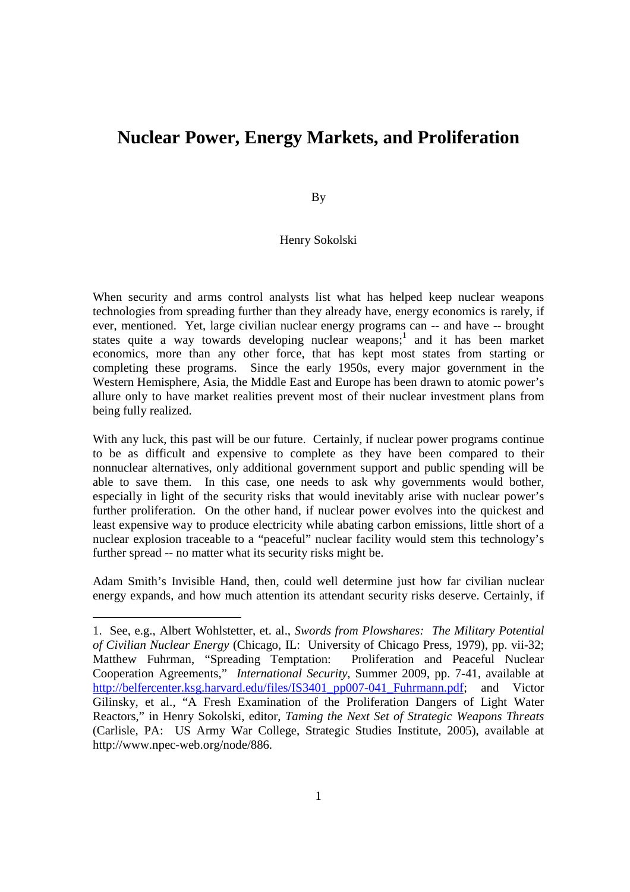# **Nuclear Power, Energy Markets, and Proliferation**

By

Henry Sokolski

When security and arms control analysts list what has helped keep nuclear weapons technologies from spreading further than they already have, energy economics is rarely, if ever, mentioned. Yet, large civilian nuclear energy programs can -- and have -- brought states quite a way towards developing nuclear weapons;<sup>1</sup> and it has been market economics, more than any other force, that has kept most states from starting or completing these programs. Since the early 1950s, every major government in the Western Hemisphere, Asia, the Middle East and Europe has been drawn to atomic power's allure only to have market realities prevent most of their nuclear investment plans from being fully realized.

With any luck, this past will be our future. Certainly, if nuclear power programs continue to be as difficult and expensive to complete as they have been compared to their nonnuclear alternatives, only additional government support and public spending will be able to save them. In this case, one needs to ask why governments would bother, especially in light of the security risks that would inevitably arise with nuclear power's further proliferation. On the other hand, if nuclear power evolves into the quickest and least expensive way to produce electricity while abating carbon emissions, little short of a nuclear explosion traceable to a "peaceful" nuclear facility would stem this technology's further spread -- no matter what its security risks might be.

Adam Smith's Invisible Hand, then, could well determine just how far civilian nuclear energy expands, and how much attention its attendant security risks deserve. Certainly, if

<sup>1.</sup> See, e.g., Albert Wohlstetter, et. al., *Swords from Plowshares: The Military Potential of Civilian Nuclear Energy* (Chicago, IL: University of Chicago Press, 1979), pp. vii-32; Matthew Fuhrman, "Spreading Temptation: Proliferation and Peaceful Nuclear Cooperation Agreements," *International Security*, Summer 2009, pp. 7-41, available at http://belfercenter.ksg.harvard.edu/files/IS3401\_pp007-041\_Fuhrmann.pdf; and Victor Gilinsky, et al., "A Fresh Examination of the Proliferation Dangers of Light Water Reactors," in Henry Sokolski, editor, *Taming the Next Set of Strategic Weapons Threats* (Carlisle, PA: US Army War College, Strategic Studies Institute, 2005), available at http://www.npec-web.org/node/886.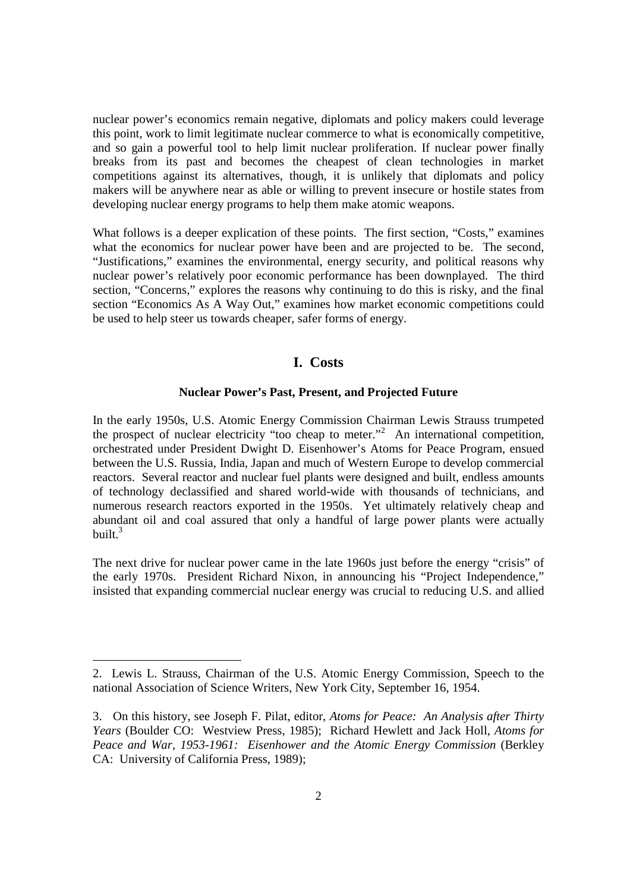nuclear power's economics remain negative, diplomats and policy makers could leverage this point, work to limit legitimate nuclear commerce to what is economically competitive, and so gain a powerful tool to help limit nuclear proliferation. If nuclear power finally breaks from its past and becomes the cheapest of clean technologies in market competitions against its alternatives, though, it is unlikely that diplomats and policy makers will be anywhere near as able or willing to prevent insecure or hostile states from developing nuclear energy programs to help them make atomic weapons.

What follows is a deeper explication of these points. The first section, "Costs," examines what the economics for nuclear power have been and are projected to be. The second, "Justifications," examines the environmental, energy security, and political reasons why nuclear power's relatively poor economic performance has been downplayed. The third section, "Concerns," explores the reasons why continuing to do this is risky, and the final section "Economics As A Way Out," examines how market economic competitions could be used to help steer us towards cheaper, safer forms of energy.

# **I. Costs**

#### **Nuclear Power's Past, Present, and Projected Future**

In the early 1950s, U.S. Atomic Energy Commission Chairman Lewis Strauss trumpeted the prospect of nuclear electricity "too cheap to meter."<sup>2</sup> An international competition, orchestrated under President Dwight D. Eisenhower's Atoms for Peace Program, ensued between the U.S. Russia, India, Japan and much of Western Europe to develop commercial reactors. Several reactor and nuclear fuel plants were designed and built, endless amounts of technology declassified and shared world-wide with thousands of technicians, and numerous research reactors exported in the 1950s. Yet ultimately relatively cheap and abundant oil and coal assured that only a handful of large power plants were actually built. $3$ 

The next drive for nuclear power came in the late 1960s just before the energy "crisis" of the early 1970s. President Richard Nixon, in announcing his "Project Independence," insisted that expanding commercial nuclear energy was crucial to reducing U.S. and allied

<u>.</u>

<sup>2.</sup> Lewis L. Strauss, Chairman of the U.S. Atomic Energy Commission, Speech to the national Association of Science Writers, New York City, September 16, 1954.

<sup>3.</sup> On this history, see Joseph F. Pilat, editor, *Atoms for Peace: An Analysis after Thirty Years* (Boulder CO: Westview Press, 1985); Richard Hewlett and Jack Holl, *Atoms for Peace and War, 1953-1961: Eisenhower and the Atomic Energy Commission* (Berkley CA: University of California Press, 1989);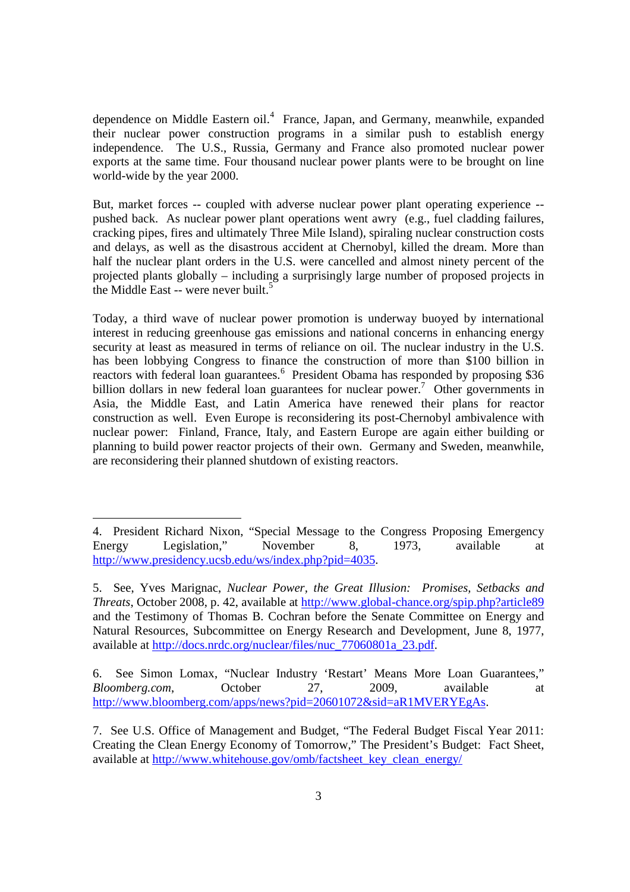dependence on Middle Eastern oil.<sup>4</sup> France, Japan, and Germany, meanwhile, expanded their nuclear power construction programs in a similar push to establish energy independence. The U.S., Russia, Germany and France also promoted nuclear power exports at the same time. Four thousand nuclear power plants were to be brought on line world-wide by the year 2000.

But, market forces -- coupled with adverse nuclear power plant operating experience - pushed back. As nuclear power plant operations went awry (e.g., fuel cladding failures, cracking pipes, fires and ultimately Three Mile Island), spiraling nuclear construction costs and delays, as well as the disastrous accident at Chernobyl, killed the dream. More than half the nuclear plant orders in the U.S. were cancelled and almost ninety percent of the projected plants globally – including a surprisingly large number of proposed projects in the Middle East  $-$  were never built.<sup>5</sup>

Today, a third wave of nuclear power promotion is underway buoyed by international interest in reducing greenhouse gas emissions and national concerns in enhancing energy security at least as measured in terms of reliance on oil. The nuclear industry in the U.S. has been lobbying Congress to finance the construction of more than \$100 billion in reactors with federal loan guarantees.<sup>6</sup> President Obama has responded by proposing \$36 billion dollars in new federal loan guarantees for nuclear power.<sup>7</sup> Other governments in Asia, the Middle East, and Latin America have renewed their plans for reactor construction as well. Even Europe is reconsidering its post-Chernobyl ambivalence with nuclear power: Finland, France, Italy, and Eastern Europe are again either building or planning to build power reactor projects of their own. Germany and Sweden, meanwhile, are reconsidering their planned shutdown of existing reactors.

<sup>4.</sup> President Richard Nixon, "Special Message to the Congress Proposing Emergency Energy Legislation," November 8, 1973, available at http://www.presidency.ucsb.edu/ws/index.php?pid=4035.

<sup>5.</sup> See, Yves Marignac, *Nuclear Power, the Great Illusion: Promises, Setbacks and Threats*, October 2008, p. 42, available at http://www.global-chance.org/spip.php?article89 and the Testimony of Thomas B. Cochran before the Senate Committee on Energy and Natural Resources, Subcommittee on Energy Research and Development, June 8, 1977, available at http://docs.nrdc.org/nuclear/files/nuc\_77060801a\_23.pdf.

<sup>6.</sup> See Simon Lomax, "Nuclear Industry 'Restart' Means More Loan Guarantees," *Bloomberg.com*, October 27, 2009, available at http://www.bloomberg.com/apps/news?pid=20601072&sid=aR1MVERYEgAs.

<sup>7.</sup> See U.S. Office of Management and Budget, "The Federal Budget Fiscal Year 2011: Creating the Clean Energy Economy of Tomorrow," The President's Budget: Fact Sheet, available at http://www.whitehouse.gov/omb/factsheet\_key\_clean\_energy/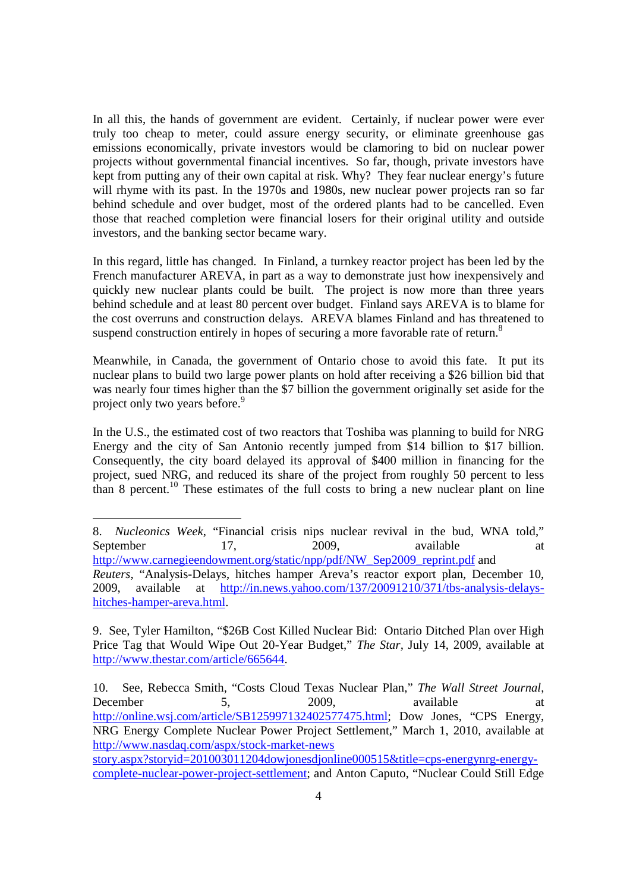In all this, the hands of government are evident. Certainly, if nuclear power were ever truly too cheap to meter, could assure energy security, or eliminate greenhouse gas emissions economically, private investors would be clamoring to bid on nuclear power projects without governmental financial incentives. So far, though, private investors have kept from putting any of their own capital at risk. Why? They fear nuclear energy's future will rhyme with its past. In the 1970s and 1980s, new nuclear power projects ran so far behind schedule and over budget, most of the ordered plants had to be cancelled. Even those that reached completion were financial losers for their original utility and outside investors, and the banking sector became wary.

In this regard, little has changed. In Finland, a turnkey reactor project has been led by the French manufacturer AREVA, in part as a way to demonstrate just how inexpensively and quickly new nuclear plants could be built. The project is now more than three years behind schedule and at least 80 percent over budget. Finland says AREVA is to blame for the cost overruns and construction delays. AREVA blames Finland and has threatened to suspend construction entirely in hopes of securing a more favorable rate of return. $8$ 

Meanwhile, in Canada, the government of Ontario chose to avoid this fate. It put its nuclear plans to build two large power plants on hold after receiving a \$26 billion bid that was nearly four times higher than the \$7 billion the government originally set aside for the project only two years before.<sup>9</sup>

In the U.S., the estimated cost of two reactors that Toshiba was planning to build for NRG Energy and the city of San Antonio recently jumped from \$14 billion to \$17 billion. Consequently, the city board delayed its approval of \$400 million in financing for the project, sued NRG, and reduced its share of the project from roughly 50 percent to less than 8 percent.<sup>10</sup> These estimates of the full costs to bring a new nuclear plant on line

<sup>8.</sup> *Nucleonics Week*, "Financial crisis nips nuclear revival in the bud, WNA told," September 17, 2009, available at a http://www.carnegieendowment.org/static/npp/pdf/NW\_Sep2009\_reprint.pdf and *Reuters*, "Analysis-Delays, hitches hamper Areva's reactor export plan, December 10, 2009, available at http://in.news.yahoo.com/137/20091210/371/tbs-analysis-delayshitches-hamper-areva.html.

<sup>9.</sup> See, Tyler Hamilton, "\$26B Cost Killed Nuclear Bid: Ontario Ditched Plan over High Price Tag that Would Wipe Out 20-Year Budget," *The Star,* July 14, 2009, available at http://www.thestar.com/article/665644.

<sup>10.</sup> See, Rebecca Smith, "Costs Cloud Texas Nuclear Plan," *The Wall Street Journal*, December 5, 2009, available at http://online.wsj.com/article/SB125997132402577475.html; Dow Jones, "CPS Energy, NRG Energy Complete Nuclear Power Project Settlement," March 1, 2010, available at http://www.nasdaq.com/aspx/stock-market-news

story.aspx?storyid=201003011204dowjonesdjonline000515&title=cps-energynrg-energycomplete-nuclear-power-project-settlement; and Anton Caputo, "Nuclear Could Still Edge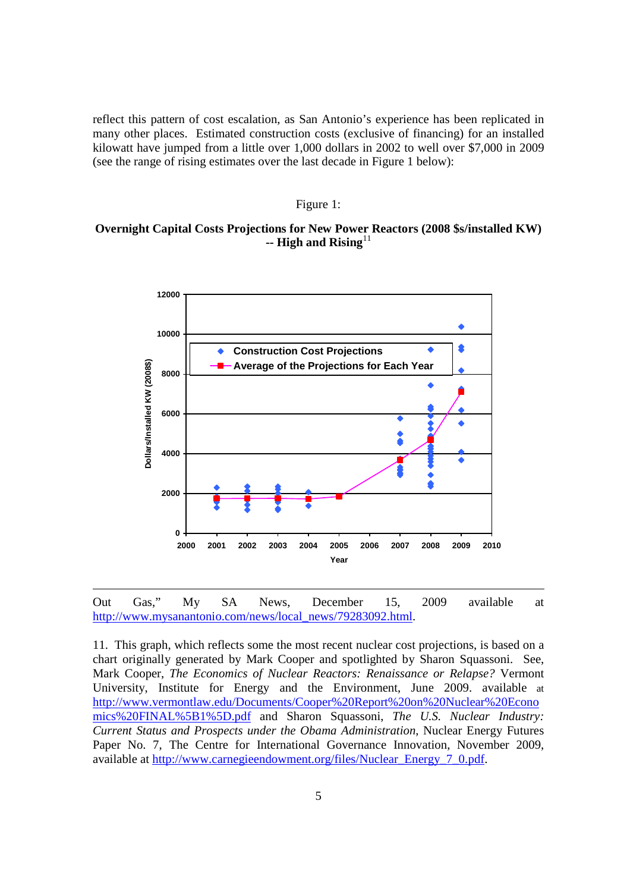reflect this pattern of cost escalation, as San Antonio's experience has been replicated in many other places. Estimated construction costs (exclusive of financing) for an installed kilowatt have jumped from a little over 1,000 dollars in 2002 to well over \$7,000 in 2009 (see the range of rising estimates over the last decade in Figure 1 below):

#### Figure 1:

## **Overnight Capital Costs Projections for New Power Reactors (2008 \$s/installed KW) -- High and Rising**<sup>11</sup>



Out Gas," My SA News, December 15, 2009 available at http://www.mysanantonio.com/news/local\_news/79283092.html.

l

11. This graph, which reflects some the most recent nuclear cost projections, is based on a chart originally generated by Mark Cooper and spotlighted by Sharon Squassoni. See, Mark Cooper, *The Economics of Nuclear Reactors: Renaissance or Relapse?* Vermont University, Institute for Energy and the Environment, June 2009. available at http://www.vermontlaw.edu/Documents/Cooper%20Report%20on%20Nuclear%20Econo mics%20FINAL%5B1%5D.pdf and Sharon Squassoni, *The U.S. Nuclear Industry: Current Status and Prospects under the Obama Administration*, Nuclear Energy Futures Paper No. 7, The Centre for International Governance Innovation, November 2009, available at http://www.carnegieendowment.org/files/Nuclear\_Energy\_7\_0.pdf.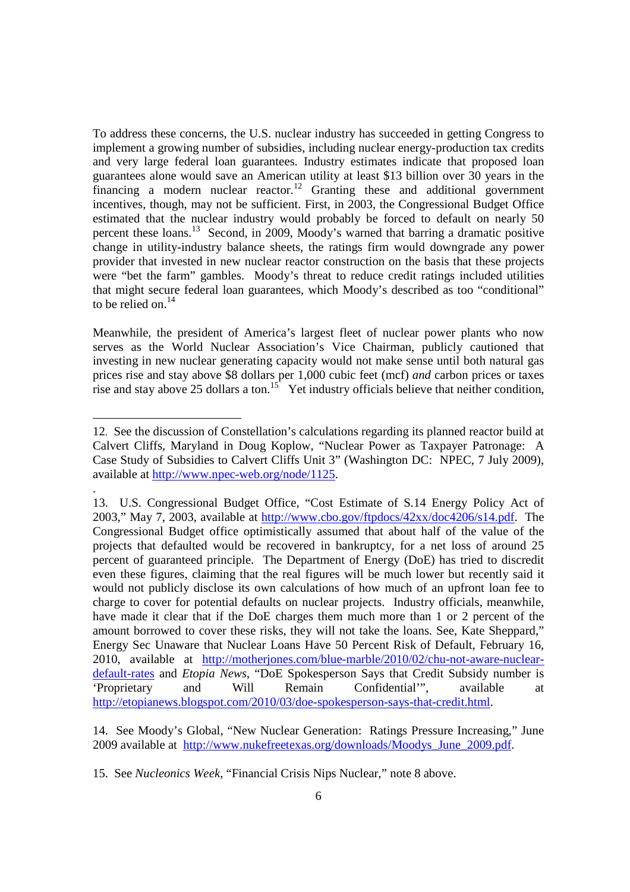To address these concerns, the U.S. nuclear industry has succeeded in getting Congress to implement a growing number of subsidies, including nuclear energy-production tax credits and very large federal loan guarantees. Industry estimates indicate that proposed loan guarantees alone would save an American utility at least \$13 billion over 30 years in the financing a modern nuclear reactor.<sup>12</sup> Granting these and additional government incentives, though, may not be sufficient. First, in 2003, the Congressional Budget Office estimated that the nuclear industry would probably be forced to default on nearly 50 percent these loans.<sup>13</sup> Second, in 2009, Moody's warned that barring a dramatic positive change in utility-industry balance sheets, the ratings firm would downgrade any power provider that invested in new nuclear reactor construction on the basis that these projects were "bet the farm" gambles. Moody's threat to reduce credit ratings included utilities that might secure federal loan guarantees, which Moody's described as too "conditional" to be relied on. $^{14}$ 

Meanwhile, the president of America's largest fleet of nuclear power plants who now serves as the World Nuclear Association's Vice Chairman, publicly cautioned that investing in new nuclear generating capacity would not make sense until both natural gas prices rise and stay above \$8 dollars per 1,000 cubic feet (mcf) *and* carbon prices or taxes rise and stay above 25 dollars a ton.<sup>15</sup> Yet industry officials believe that neither condition,

-

.

14. See Moody's Global, "New Nuclear Generation: Ratings Pressure Increasing," June 2009 available at http://www.nukefreetexas.org/downloads/Moodys\_June\_2009.pdf.

15. See *Nucleonics Week*, "Financial Crisis Nips Nuclear," note 8 above.

<sup>12</sup>. See the discussion of Constellation's calculations regarding its planned reactor build at Calvert Cliffs, Maryland in Doug Koplow, "Nuclear Power as Taxpayer Patronage: A Case Study of Subsidies to Calvert Cliffs Unit 3" (Washington DC: NPEC, 7 July 2009), available at http://www.npec-web.org/node/1125.

<sup>13.</sup> U.S. Congressional Budget Office, "Cost Estimate of S.14 Energy Policy Act of 2003," May 7, 2003, available at http://www.cbo.gov/ftpdocs/42xx/doc4206/s14.pdf. The Congressional Budget office optimistically assumed that about half of the value of the projects that defaulted would be recovered in bankruptcy, for a net loss of around 25 percent of guaranteed principle. The Department of Energy (DoE) has tried to discredit even these figures, claiming that the real figures will be much lower but recently said it would not publicly disclose its own calculations of how much of an upfront loan fee to charge to cover for potential defaults on nuclear projects. Industry officials, meanwhile, have made it clear that if the DoE charges them much more than 1 or 2 percent of the amount borrowed to cover these risks, they will not take the loans. See, Kate Sheppard," Energy Sec Unaware that Nuclear Loans Have 50 Percent Risk of Default, February 16, 2010, available at http://motherjones.com/blue-marble/2010/02/chu-not-aware-nucleardefault-rates and *Etopia News*, "DoE Spokesperson Says that Credit Subsidy number is 'Proprietary and Will Remain Confidential'", available at http://etopianews.blogspot.com/2010/03/doe-spokesperson-says-that-credit.html.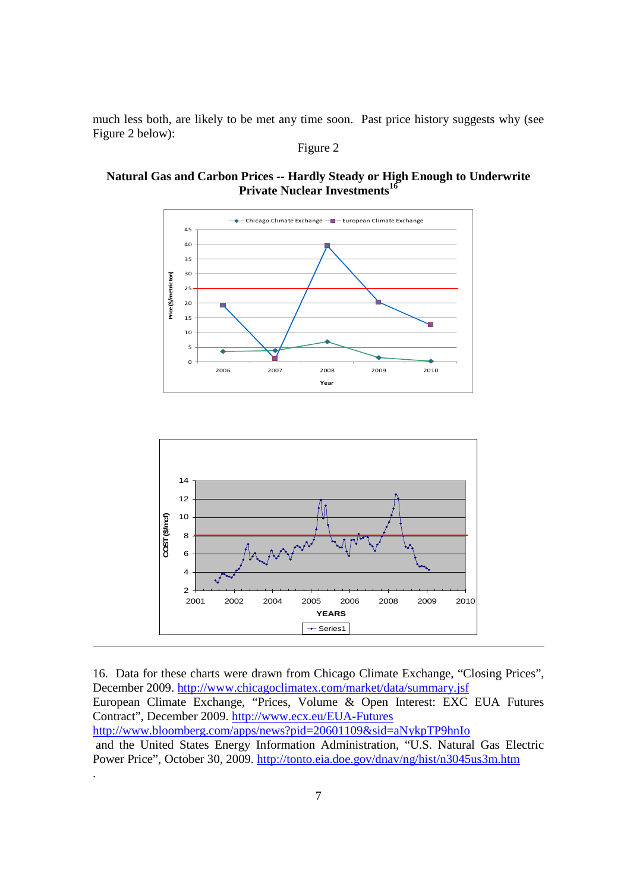much less both, are likely to be met any time soon. Past price history suggests why (see Figure 2 below):

Figure 2

**Natural Gas and Carbon Prices -- Hardly Steady or High Enough to Underwrite Private Nuclear Investments<sup>16</sup>**





16. Data for these charts were drawn from Chicago Climate Exchange, "Closing Prices", December 2009. http://www.chicagoclimatex.com/market/data/summary.jsf European Climate Exchange, "Prices, Volume & Open Interest: EXC EUA Futures Contract", December 2009. http://www.ecx.eu/EUA-Futures http://www.bloomberg.com/apps/news?pid=20601109&sid=aNykpTP9hnIo and the United States Energy Information Administration, "U.S. Natural Gas Electric Power Price", October 30, 2009. http://tonto.eia.doe.gov/dnav/ng/hist/n3045us3m.htm .

l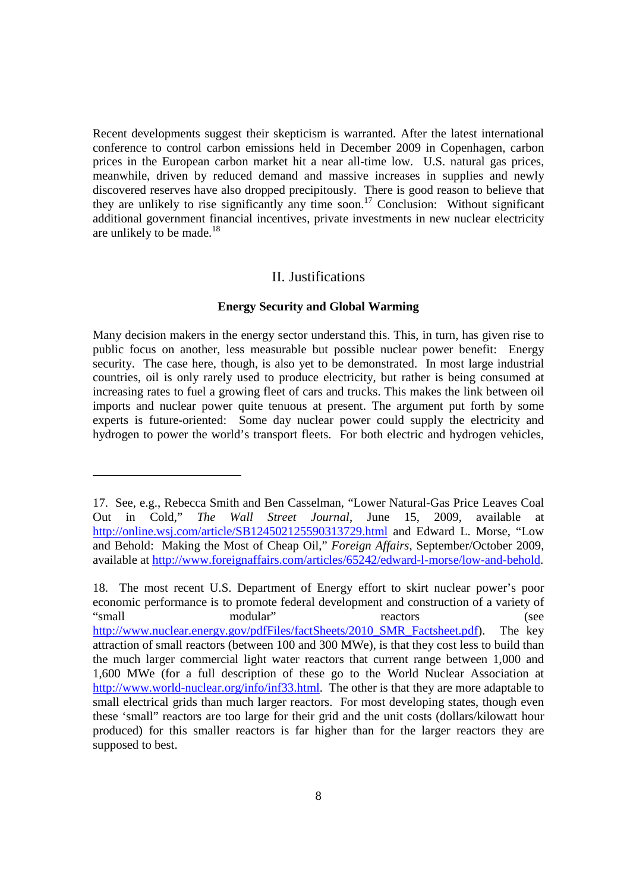Recent developments suggest their skepticism is warranted. After the latest international conference to control carbon emissions held in December 2009 in Copenhagen, carbon prices in the European carbon market hit a near all-time low. U.S. natural gas prices, meanwhile, driven by reduced demand and massive increases in supplies and newly discovered reserves have also dropped precipitously. There is good reason to believe that they are unlikely to rise significantly any time soon. <sup>17</sup> Conclusion: Without significant additional government financial incentives, private investments in new nuclear electricity are unlikely to be made.<sup>18</sup>

## II. Justifications

#### **Energy Security and Global Warming**

Many decision makers in the energy sector understand this. This, in turn, has given rise to public focus on another, less measurable but possible nuclear power benefit: Energy security. The case here, though, is also yet to be demonstrated. In most large industrial countries, oil is only rarely used to produce electricity, but rather is being consumed at increasing rates to fuel a growing fleet of cars and trucks. This makes the link between oil imports and nuclear power quite tenuous at present. The argument put forth by some experts is future-oriented: Some day nuclear power could supply the electricity and hydrogen to power the world's transport fleets. For both electric and hydrogen vehicles,

<sup>17.</sup> See, e.g., Rebecca Smith and Ben Casselman, "Lower Natural-Gas Price Leaves Coal Out in Cold," The Wall Street Journal, June 15, 2009, available at The Wall Street Journal, June 15, 2009, available at http://online.wsj.com/article/SB124502125590313729.html and Edward L. Morse, "Low and Behold: Making the Most of Cheap Oil," *Foreign Affairs*, September/October 2009, available at http://www.foreignaffairs.com/articles/65242/edward-l-morse/low-and-behold.

<sup>18.</sup> The most recent U.S. Department of Energy effort to skirt nuclear power's poor economic performance is to promote federal development and construction of a variety of "small modular" reactors (see http://www.nuclear.energy.gov/pdfFiles/factSheets/2010\_SMR\_Factsheet.pdf). The key attraction of small reactors (between 100 and 300 MWe), is that they cost less to build than the much larger commercial light water reactors that current range between 1,000 and 1,600 MWe (for a full description of these go to the World Nuclear Association at http://www.world-nuclear.org/info/inf33.html. The other is that they are more adaptable to small electrical grids than much larger reactors. For most developing states, though even these 'small" reactors are too large for their grid and the unit costs (dollars/kilowatt hour produced) for this smaller reactors is far higher than for the larger reactors they are supposed to best.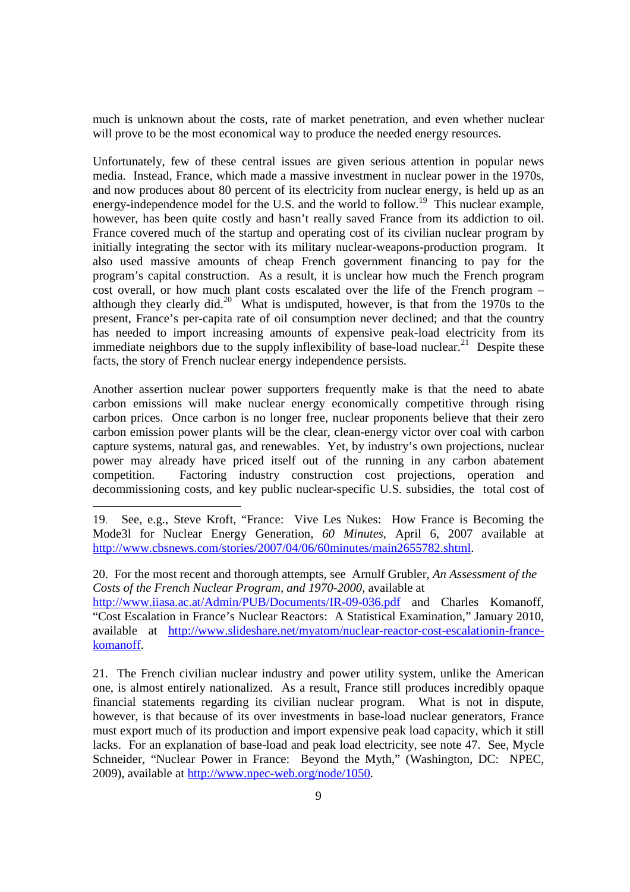much is unknown about the costs, rate of market penetration, and even whether nuclear will prove to be the most economical way to produce the needed energy resources.

Unfortunately, few of these central issues are given serious attention in popular news media. Instead, France, which made a massive investment in nuclear power in the 1970s, and now produces about 80 percent of its electricity from nuclear energy, is held up as an energy-independence model for the U.S. and the world to follow.<sup>19</sup> This nuclear example, however, has been quite costly and hasn't really saved France from its addiction to oil. France covered much of the startup and operating cost of its civilian nuclear program by initially integrating the sector with its military nuclear-weapons-production program. It also used massive amounts of cheap French government financing to pay for the program's capital construction. As a result, it is unclear how much the French program cost overall, or how much plant costs escalated over the life of the French program – although they clearly did.<sup>20</sup> What is undisputed, however, is that from the 1970s to the present, France's per-capita rate of oil consumption never declined; and that the country has needed to import increasing amounts of expensive peak-load electricity from its immediate neighbors due to the supply inflexibility of base-load nuclear.<sup>21</sup> Despite these facts, the story of French nuclear energy independence persists.

Another assertion nuclear power supporters frequently make is that the need to abate carbon emissions will make nuclear energy economically competitive through rising carbon prices. Once carbon is no longer free, nuclear proponents believe that their zero carbon emission power plants will be the clear, clean-energy victor over coal with carbon capture systems, natural gas, and renewables. Yet, by industry's own projections, nuclear power may already have priced itself out of the running in any carbon abatement competition. Factoring industry construction cost projections, operation and decommissioning costs, and key public nuclear-specific U.S. subsidies, the total cost of

<sup>19</sup>. See, e.g., Steve Kroft, "France: Vive Les Nukes: How France is Becoming the Mode3l for Nuclear Energy Generation, *60 Minutes*, April 6, 2007 available at http://www.cbsnews.com/stories/2007/04/06/60minutes/main2655782.shtml.

<sup>20.</sup> For the most recent and thorough attempts, see Arnulf Grubler, *An Assessment of the Costs of the French Nuclear Program, and 1970-2000*, available at

http://www.iiasa.ac.at/Admin/PUB/Documents/IR-09-036.pdf and Charles Komanoff, "Cost Escalation in France's Nuclear Reactors: A Statistical Examination," January 2010, available at http://www.slideshare.net/myatom/nuclear-reactor-cost-escalationin-francekomanoff.

<sup>21.</sup> The French civilian nuclear industry and power utility system, unlike the American one, is almost entirely nationalized. As a result, France still produces incredibly opaque financial statements regarding its civilian nuclear program. What is not in dispute, however, is that because of its over investments in base-load nuclear generators, France must export much of its production and import expensive peak load capacity, which it still lacks. For an explanation of base-load and peak load electricity, see note 47. See, Mycle Schneider, "Nuclear Power in France: Beyond the Myth," (Washington, DC: NPEC, 2009), available at http://www.npec-web.org/node/1050.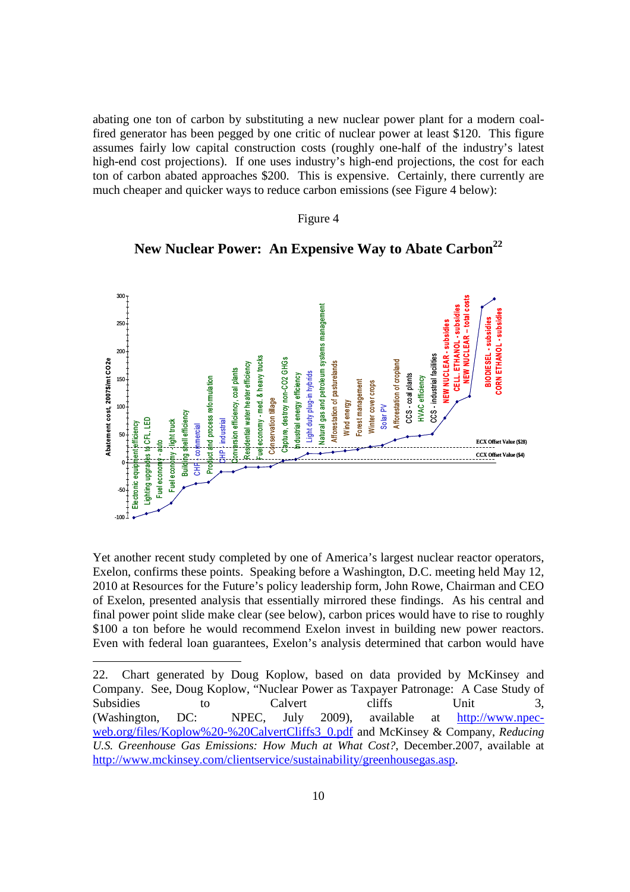abating one ton of carbon by substituting a new nuclear power plant for a modern coalfired generator has been pegged by one critic of nuclear power at least \$120. This figure assumes fairly low capital construction costs (roughly one-half of the industry's latest high-end cost projections). If one uses industry's high-end projections, the cost for each ton of carbon abated approaches \$200. This is expensive. Certainly, there currently are much cheaper and quicker ways to reduce carbon emissions (see Figure 4 below):

#### Figure 4



**New Nuclear Power: An Expensive Way to Abate Carbon 22**

Yet another recent study completed by one of America's largest nuclear reactor operators, Exelon, confirms these points. Speaking before a Washington, D.C. meeting held May 12, 2010 at Resources for the Future's policy leadership form, John Rowe, Chairman and CEO of Exelon, presented analysis that essentially mirrored these findings. As his central and final power point slide make clear (see below), carbon prices would have to rise to roughly \$100 a ton before he would recommend Exelon invest in building new power reactors. Even with federal loan guarantees, Exelon's analysis determined that carbon would have

<sup>22.</sup> Chart generated by Doug Koplow, based on data provided by McKinsey and Company. See, Doug Koplow, "Nuclear Power as Taxpayer Patronage: A Case Study of Subsidies to Calvert cliffs Unit 3, (Washington, DC: NPEC, July 2009), available at http://www.npecweb.org/files/Koplow%20-%20CalvertCliffs3\_0.pdf and McKinsey & Company, *Reducing U.S. Greenhouse Gas Emissions: How Much at What Cost?*, December.2007, available at http://www.mckinsey.com/clientservice/sustainability/greenhousegas.asp.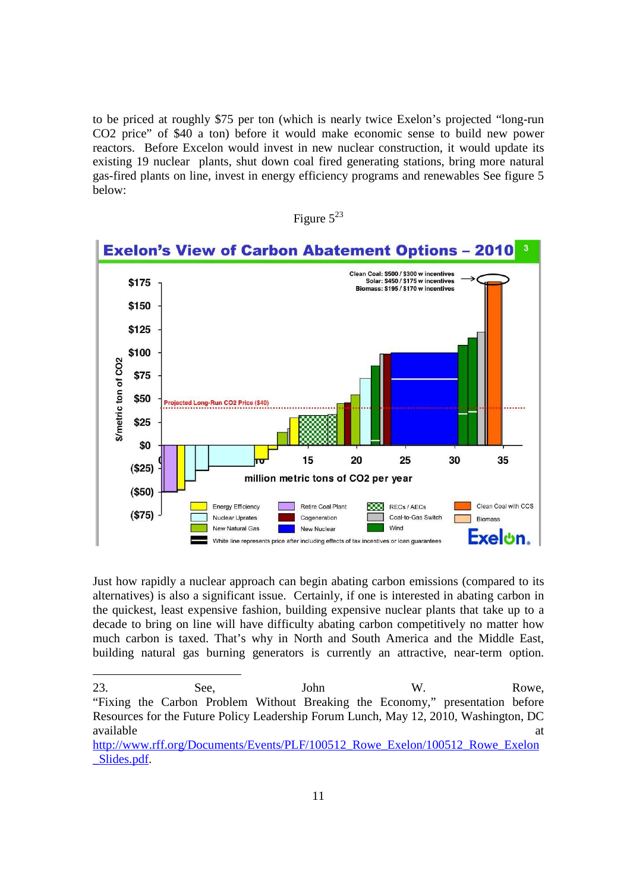to be priced at roughly \$75 per ton (which is nearly twice Exelon's projected "long-run CO2 price" of \$40 a ton) before it would make economic sense to build new power reactors. Before Excelon would invest in new nuclear construction, it would update its existing 19 nuclear plants, shut down coal fired generating stations, bring more natural gas-fired plants on line, invest in energy efficiency programs and renewables See figure 5 below:



Just how rapidly a nuclear approach can begin abating carbon emissions (compared to its alternatives) is also a significant issue. Certainly, if one is interested in abating carbon in the quickest, least expensive fashion, building expensive nuclear plants that take up to a decade to bring on line will have difficulty abating carbon competitively no matter how much carbon is taxed. That's why in North and South America and the Middle East, building natural gas burning generators is currently an attractive, near-term option.

-

## Figure  $5^{23}$

<sup>23.</sup> See, John W. Rowe, "Fixing the Carbon Problem Without Breaking the Economy," presentation before Resources for the Future Policy Leadership Forum Lunch, May 12, 2010, Washington, DC available at a state of  $\alpha$  at a state of  $\alpha$  at a state of  $\alpha$  at a state of  $\alpha$  at a state of  $\alpha$  at a state of  $\alpha$  at a state of  $\alpha$  at a state of  $\alpha$  at a state of  $\alpha$  at a state of  $\alpha$  at a state of  $\alpha$  at http://www.rff.org/Documents/Events/PLF/100512\_Rowe\_Exelon/100512\_Rowe\_Exelon

\_Slides.pdf.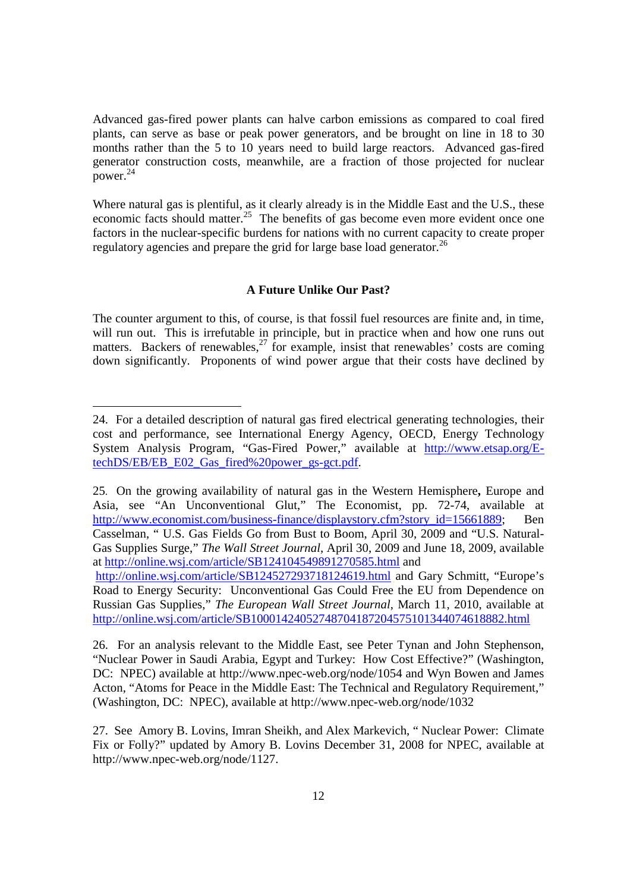Advanced gas-fired power plants can halve carbon emissions as compared to coal fired plants, can serve as base or peak power generators, and be brought on line in 18 to 30 months rather than the 5 to 10 years need to build large reactors. Advanced gas-fired generator construction costs, meanwhile, are a fraction of those projected for nuclear power. $24$ 

Where natural gas is plentiful, as it clearly already is in the Middle East and the U.S., these economic facts should matter.<sup>25</sup> The benefits of gas become even more evident once one factors in the nuclear-specific burdens for nations with no current capacity to create proper regulatory agencies and prepare the grid for large base load generator.<sup>26</sup>

#### **A Future Unlike Our Past?**

The counter argument to this, of course, is that fossil fuel resources are finite and, in time, will run out. This is irrefutable in principle, but in practice when and how one runs out matters. Backers of renewables,  $27 \text{ for example, insist that renewables' costs are coming}$ down significantly. Proponents of wind power argue that their costs have declined by

<sup>24.</sup> For a detailed description of natural gas fired electrical generating technologies, their cost and performance, see International Energy Agency, OECD, Energy Technology System Analysis Program, "Gas-Fired Power," available at http://www.etsap.org/EtechDS/EB/EB\_E02\_Gas\_fired%20power\_gs-gct.pdf.

<sup>25</sup>. On the growing availability of natural gas in the Western Hemisphere**,** Europe and Asia, see "An Unconventional Glut," The Economist, pp. 72-74, available at http://www.economist.com/business-finance/displaystory.cfm?story\_id=15661889; Ben Casselman, " U.S. Gas Fields Go from Bust to Boom, April 30, 2009 and "U.S. Natural-Gas Supplies Surge," *The Wall Street Journal,* April 30, 2009 and June 18, 2009, available at http://online.wsj.com/article/SB124104549891270585.html and

http://online.wsj.com/article/SB124527293718124619.html and Gary Schmitt, "Europe's Road to Energy Security: Unconventional Gas Could Free the EU from Dependence on Russian Gas Supplies," *The European Wall Street Journal*, March 11, 2010, available at http://online.wsj.com/article/SB10001424052748704187204575101344074618882.html

<sup>26.</sup> For an analysis relevant to the Middle East, see Peter Tynan and John Stephenson, "Nuclear Power in Saudi Arabia, Egypt and Turkey: How Cost Effective?" (Washington, DC: NPEC) available at http://www.npec-web.org/node/1054 and Wyn Bowen and James Acton, "Atoms for Peace in the Middle East: The Technical and Regulatory Requirement," (Washington, DC: NPEC), available at http://www.npec-web.org/node/1032

<sup>27.</sup> See Amory B. Lovins, Imran Sheikh, and Alex Markevich, " Nuclear Power: Climate Fix or Folly?" updated by Amory B. Lovins December 31, 2008 for NPEC, available at http://www.npec-web.org/node/1127.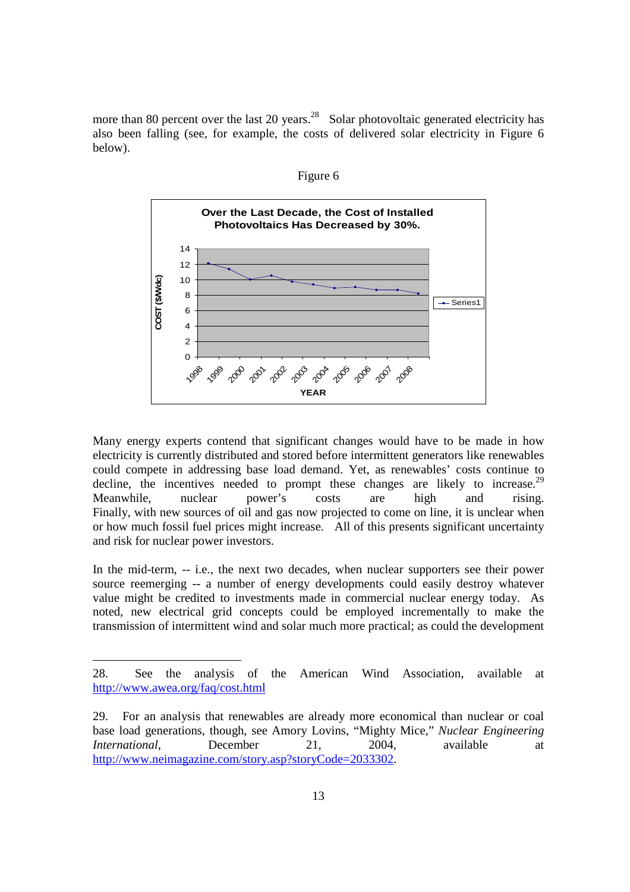more than 80 percent over the last 20 years. $28$  Solar photovoltaic generated electricity has also been falling (see, for example, the costs of delivered solar electricity in Figure 6 below).



Figure 6

Many energy experts contend that significant changes would have to be made in how electricity is currently distributed and stored before intermittent generators like renewables could compete in addressing base load demand. Yet, as renewables' costs continue to decline, the incentives needed to prompt these changes are likely to increase.<sup>29</sup> Meanwhile, nuclear power's costs are high and rising. Finally, with new sources of oil and gas now projected to come on line, it is unclear when or how much fossil fuel prices might increase. All of this presents significant uncertainty and risk for nuclear power investors.

In the mid-term, -- i.e., the next two decades, when nuclear supporters see their power source reemerging -- a number of energy developments could easily destroy whatever value might be credited to investments made in commercial nuclear energy today. As noted, new electrical grid concepts could be employed incrementally to make the transmission of intermittent wind and solar much more practical; as could the development

<u>.</u>

<sup>28.</sup> See the analysis of the American Wind Association, available at http://www.awea.org/faq/cost.html

<sup>29.</sup> For an analysis that renewables are already more economical than nuclear or coal base load generations, though, see Amory Lovins, "Mighty Mice," *Nuclear Engineering International*, December 21, 2004, available at http://www.neimagazine.com/story.asp?storyCode=2033302.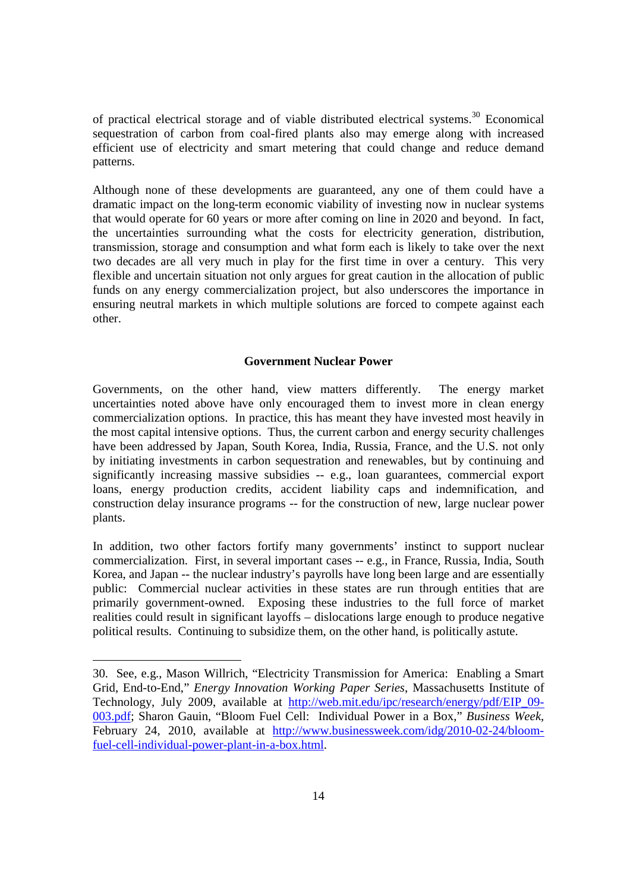of practical electrical storage and of viable distributed electrical systems.<sup>30</sup> Economical sequestration of carbon from coal-fired plants also may emerge along with increased efficient use of electricity and smart metering that could change and reduce demand patterns.

Although none of these developments are guaranteed, any one of them could have a dramatic impact on the long-term economic viability of investing now in nuclear systems that would operate for 60 years or more after coming on line in 2020 and beyond. In fact, the uncertainties surrounding what the costs for electricity generation, distribution, transmission, storage and consumption and what form each is likely to take over the next two decades are all very much in play for the first time in over a century. This very flexible and uncertain situation not only argues for great caution in the allocation of public funds on any energy commercialization project, but also underscores the importance in ensuring neutral markets in which multiple solutions are forced to compete against each other.

#### **Government Nuclear Power**

Governments, on the other hand, view matters differently. The energy market uncertainties noted above have only encouraged them to invest more in clean energy commercialization options. In practice, this has meant they have invested most heavily in the most capital intensive options. Thus, the current carbon and energy security challenges have been addressed by Japan, South Korea, India, Russia, France, and the U.S. not only by initiating investments in carbon sequestration and renewables, but by continuing and significantly increasing massive subsidies -- e.g., loan guarantees, commercial export loans, energy production credits, accident liability caps and indemnification, and construction delay insurance programs -- for the construction of new, large nuclear power plants.

In addition, two other factors fortify many governments' instinct to support nuclear commercialization. First, in several important cases -- e.g., in France, Russia, India, South Korea, and Japan -- the nuclear industry's payrolls have long been large and are essentially public: Commercial nuclear activities in these states are run through entities that are primarily government-owned. Exposing these industries to the full force of market realities could result in significant layoffs – dislocations large enough to produce negative political results. Continuing to subsidize them, on the other hand, is politically astute.

<u>.</u>

<sup>30.</sup> See, e.g., Mason Willrich, "Electricity Transmission for America: Enabling a Smart Grid, End-to-End," *Energy Innovation Working Paper Series*, Massachusetts Institute of Technology, July 2009, available at http://web.mit.edu/ipc/research/energy/pdf/EIP\_09- 003.pdf; Sharon Gauin, "Bloom Fuel Cell: Individual Power in a Box," *Business Week*, February 24, 2010, available at http://www.businessweek.com/idg/2010-02-24/bloomfuel-cell-individual-power-plant-in-a-box.html.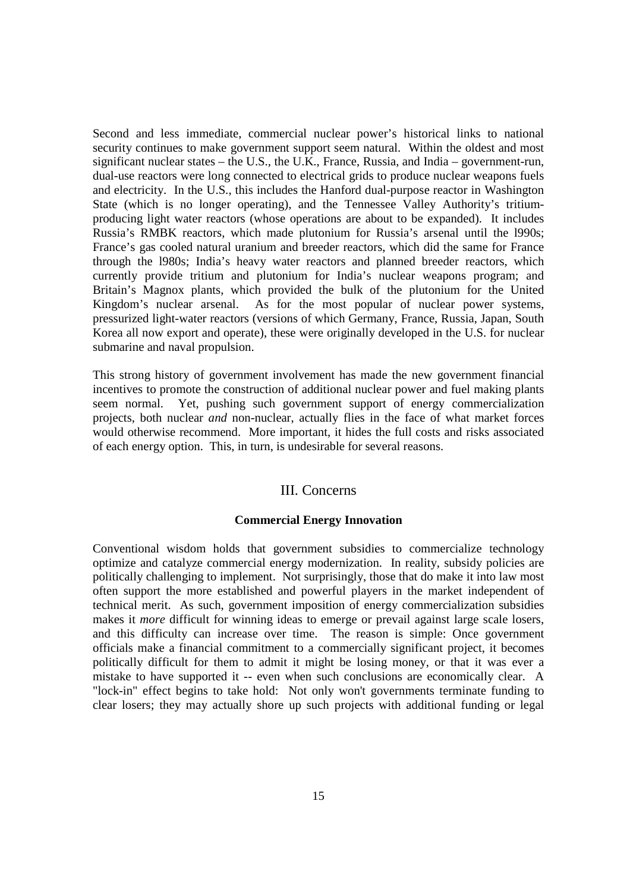Second and less immediate, commercial nuclear power's historical links to national security continues to make government support seem natural. Within the oldest and most significant nuclear states – the U.S., the U.K., France, Russia, and India – government-run, dual-use reactors were long connected to electrical grids to produce nuclear weapons fuels and electricity. In the U.S., this includes the Hanford dual-purpose reactor in Washington State (which is no longer operating), and the Tennessee Valley Authority's tritiumproducing light water reactors (whose operations are about to be expanded). It includes Russia's RMBK reactors, which made plutonium for Russia's arsenal until the l990s; France's gas cooled natural uranium and breeder reactors, which did the same for France through the l980s; India's heavy water reactors and planned breeder reactors, which currently provide tritium and plutonium for India's nuclear weapons program; and Britain's Magnox plants, which provided the bulk of the plutonium for the United Kingdom's nuclear arsenal. As for the most popular of nuclear power systems, pressurized light-water reactors (versions of which Germany, France, Russia, Japan, South Korea all now export and operate), these were originally developed in the U.S. for nuclear submarine and naval propulsion.

This strong history of government involvement has made the new government financial incentives to promote the construction of additional nuclear power and fuel making plants seem normal. Yet, pushing such government support of energy commercialization projects, both nuclear *and* non-nuclear, actually flies in the face of what market forces would otherwise recommend. More important, it hides the full costs and risks associated of each energy option. This, in turn, is undesirable for several reasons.

#### III. Concerns

#### **Commercial Energy Innovation**

Conventional wisdom holds that government subsidies to commercialize technology optimize and catalyze commercial energy modernization. In reality, subsidy policies are politically challenging to implement. Not surprisingly, those that do make it into law most often support the more established and powerful players in the market independent of technical merit. As such, government imposition of energy commercialization subsidies makes it *more* difficult for winning ideas to emerge or prevail against large scale losers, and this difficulty can increase over time. The reason is simple: Once government officials make a financial commitment to a commercially significant project, it becomes politically difficult for them to admit it might be losing money, or that it was ever a mistake to have supported it -- even when such conclusions are economically clear. A "lock-in" effect begins to take hold: Not only won't governments terminate funding to clear losers; they may actually shore up such projects with additional funding or legal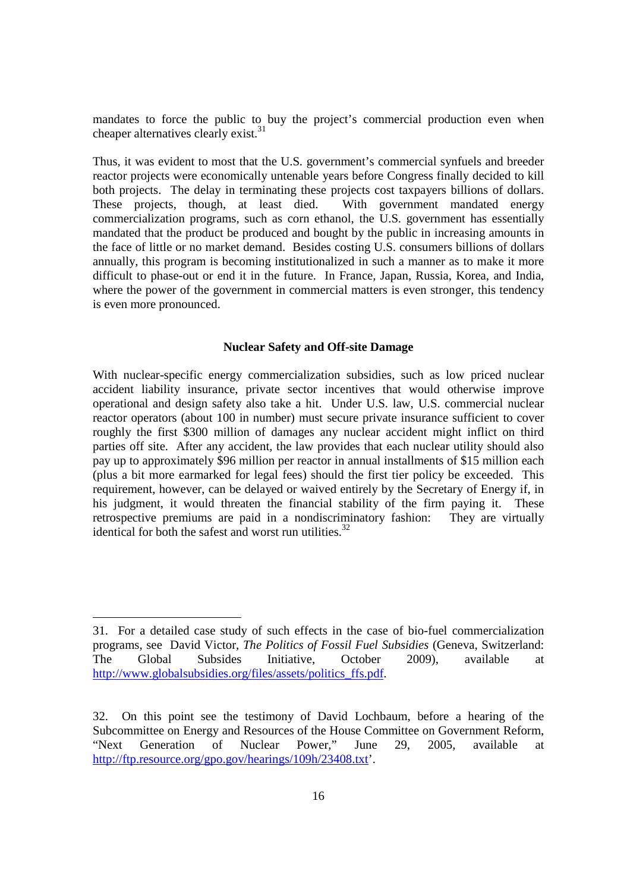mandates to force the public to buy the project's commercial production even when cheaper alternatives clearly exist. $31$ 

Thus, it was evident to most that the U.S. government's commercial synfuels and breeder reactor projects were economically untenable years before Congress finally decided to kill both projects. The delay in terminating these projects cost taxpayers billions of dollars. These projects, though, at least died. With government mandated energy commercialization programs, such as corn ethanol, the U.S. government has essentially mandated that the product be produced and bought by the public in increasing amounts in the face of little or no market demand. Besides costing U.S. consumers billions of dollars annually, this program is becoming institutionalized in such a manner as to make it more difficult to phase-out or end it in the future. In France, Japan, Russia, Korea, and India, where the power of the government in commercial matters is even stronger, this tendency is even more pronounced.

#### **Nuclear Safety and Off-site Damage**

With nuclear-specific energy commercialization subsidies, such as low priced nuclear accident liability insurance, private sector incentives that would otherwise improve operational and design safety also take a hit. Under U.S. law, U.S. commercial nuclear reactor operators (about 100 in number) must secure private insurance sufficient to cover roughly the first \$300 million of damages any nuclear accident might inflict on third parties off site. After any accident, the law provides that each nuclear utility should also pay up to approximately \$96 million per reactor in annual installments of \$15 million each (plus a bit more earmarked for legal fees) should the first tier policy be exceeded. This requirement, however, can be delayed or waived entirely by the Secretary of Energy if, in his judgment, it would threaten the financial stability of the firm paying it. These retrospective premiums are paid in a nondiscriminatory fashion: They are virtually identical for both the safest and worst run utilities.<sup>32</sup>

<sup>31.</sup> For a detailed case study of such effects in the case of bio-fuel commercialization programs, see David Victor, *The Politics of Fossil Fuel Subsidies* (Geneva, Switzerland: The Global Subsides Initiative, October 2009), available at http://www.globalsubsidies.org/files/assets/politics\_ffs.pdf.

<sup>32.</sup> On this point see the testimony of David Lochbaum, before a hearing of the Subcommittee on Energy and Resources of the House Committee on Government Reform, "Next Generation of Nuclear Power," June 29, 2005, available at http://ftp.resource.org/gpo.gov/hearings/109h/23408.txt'.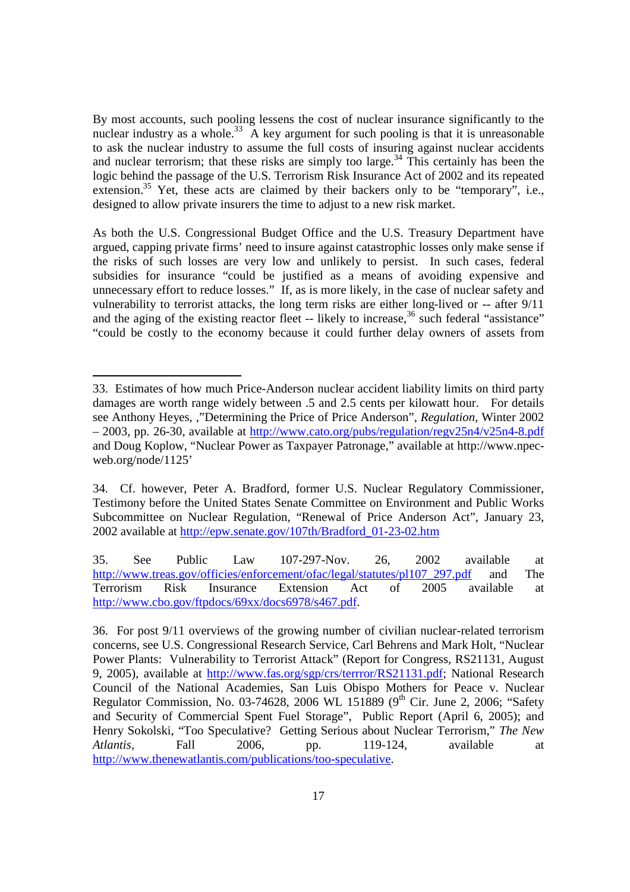By most accounts, such pooling lessens the cost of nuclear insurance significantly to the nuclear industry as a whole.<sup>33</sup> A key argument for such pooling is that it is unreasonable to ask the nuclear industry to assume the full costs of insuring against nuclear accidents and nuclear terrorism; that these risks are simply too large.<sup>34</sup> This certainly has been the logic behind the passage of the U.S. Terrorism Risk Insurance Act of 2002 and its repeated extension.<sup>35</sup> Yet, these acts are claimed by their backers only to be "temporary", i.e., designed to allow private insurers the time to adjust to a new risk market.

As both the U.S. Congressional Budget Office and the U.S. Treasury Department have argued, capping private firms' need to insure against catastrophic losses only make sense if the risks of such losses are very low and unlikely to persist. In such cases, federal subsidies for insurance "could be justified as a means of avoiding expensive and unnecessary effort to reduce losses." If, as is more likely, in the case of nuclear safety and vulnerability to terrorist attacks, the long term risks are either long-lived or -- after 9/11 and the aging of the existing reactor fleet  $-$  likely to increase,<sup>36</sup> such federal "assistance" "could be costly to the economy because it could further delay owners of assets from

<sup>33.</sup> Estimates of how much Price-Anderson nuclear accident liability limits on third party damages are worth range widely between .5 and 2.5 cents per kilowatt hour. For details see Anthony Heyes, ,"Determining the Price of Price Anderson", *Regulation,* Winter 2002 – 2003, pp. 26-30, available at http://www.cato.org/pubs/regulation/regv25n4/v25n4-8.pdf and Doug Koplow, "Nuclear Power as Taxpayer Patronage," available at http://www.npecweb.org/node/1125'

<sup>34.</sup> Cf. however, Peter A. Bradford, former U.S. Nuclear Regulatory Commissioner, Testimony before the United States Senate Committee on Environment and Public Works Subcommittee on Nuclear Regulation, "Renewal of Price Anderson Act", January 23, 2002 available at http://epw.senate.gov/107th/Bradford\_01-23-02.htm

<sup>35.</sup> See Public Law 107-297-Nov. 26, 2002 available at http://www.treas.gov/officies/enforcement/ofac/legal/statutes/pl107\_297.pdf and The Terrorism Risk Insurance Extension Act of 2005 available at http://www.cbo.gov/ftpdocs/69xx/docs6978/s467.pdf.

<sup>36.</sup> For post 9/11 overviews of the growing number of civilian nuclear-related terrorism concerns, see U.S. Congressional Research Service, Carl Behrens and Mark Holt, "Nuclear Power Plants: Vulnerability to Terrorist Attack" (Report for Congress, RS21131, August 9, 2005), available at http://www.fas.org/sgp/crs/terrror/RS21131.pdf; National Research Council of the National Academies, San Luis Obispo Mothers for Peace v. Nuclear Regulator Commission, No. 03-74628, 2006 WL 151889 ( $9<sup>th</sup>$  Cir. June 2, 2006; "Safety and Security of Commercial Spent Fuel Storage", Public Report (April 6, 2005); and Henry Sokolski, "Too Speculative? Getting Serious about Nuclear Terrorism," *The New Atlantis,* Fall 2006, pp. 119-124, available at http://www.thenewatlantis.com/publications/too-speculative.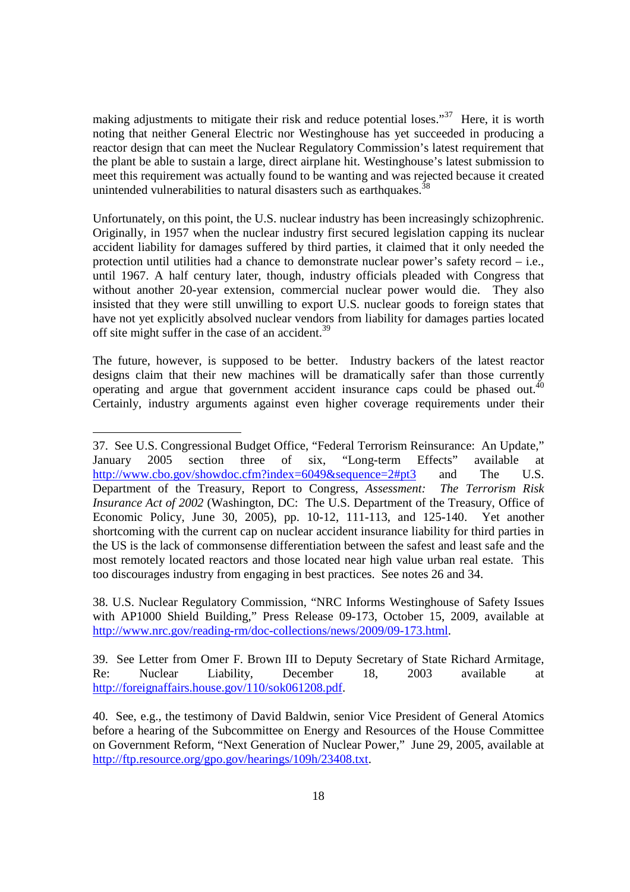making adjustments to mitigate their risk and reduce potential loses."<sup>37</sup> Here, it is worth noting that neither General Electric nor Westinghouse has yet succeeded in producing a reactor design that can meet the Nuclear Regulatory Commission's latest requirement that the plant be able to sustain a large, direct airplane hit. Westinghouse's latest submission to meet this requirement was actually found to be wanting and was rejected because it created unintended vulnerabilities to natural disasters such as earthquakes.<sup>3</sup>

Unfortunately, on this point, the U.S. nuclear industry has been increasingly schizophrenic. Originally, in 1957 when the nuclear industry first secured legislation capping its nuclear accident liability for damages suffered by third parties, it claimed that it only needed the protection until utilities had a chance to demonstrate nuclear power's safety record – i.e., until 1967. A half century later, though, industry officials pleaded with Congress that without another 20-year extension, commercial nuclear power would die. They also insisted that they were still unwilling to export U.S. nuclear goods to foreign states that have not yet explicitly absolved nuclear vendors from liability for damages parties located off site might suffer in the case of an accident.<sup>39</sup>

The future, however, is supposed to be better. Industry backers of the latest reactor designs claim that their new machines will be dramatically safer than those currently operating and argue that government accident insurance caps could be phased out. $40$ Certainly, industry arguments against even higher coverage requirements under their

38. U.S. Nuclear Regulatory Commission, "NRC Informs Westinghouse of Safety Issues with AP1000 Shield Building," Press Release 09-173, October 15, 2009, available at http://www.nrc.gov/reading-rm/doc-collections/news/2009/09-173.html.

39. See Letter from Omer F. Brown III to Deputy Secretary of State Richard Armitage, Re: Nuclear Liability, December 18, 2003 available at http://foreignaffairs.house.gov/110/sok061208.pdf.

<sup>-</sup>37. See U.S. Congressional Budget Office, "Federal Terrorism Reinsurance: An Update," January 2005 section three of six, "Long-term Effects" available at http://www.cbo.gov/showdoc.cfm?index=6049&sequence=2#pt3 and The U.S. Department of the Treasury, Report to Congress, *Assessment: The Terrorism Risk Insurance Act of 2002* (Washington, DC: The U.S. Department of the Treasury, Office of Economic Policy, June 30, 2005), pp. 10-12, 111-113, and 125-140. Yet another shortcoming with the current cap on nuclear accident insurance liability for third parties in the US is the lack of commonsense differentiation between the safest and least safe and the most remotely located reactors and those located near high value urban real estate. This too discourages industry from engaging in best practices. See notes 26 and 34.

<sup>40.</sup> See, e.g., the testimony of David Baldwin, senior Vice President of General Atomics before a hearing of the Subcommittee on Energy and Resources of the House Committee on Government Reform, "Next Generation of Nuclear Power," June 29, 2005, available at http://ftp.resource.org/gpo.gov/hearings/109h/23408.txt.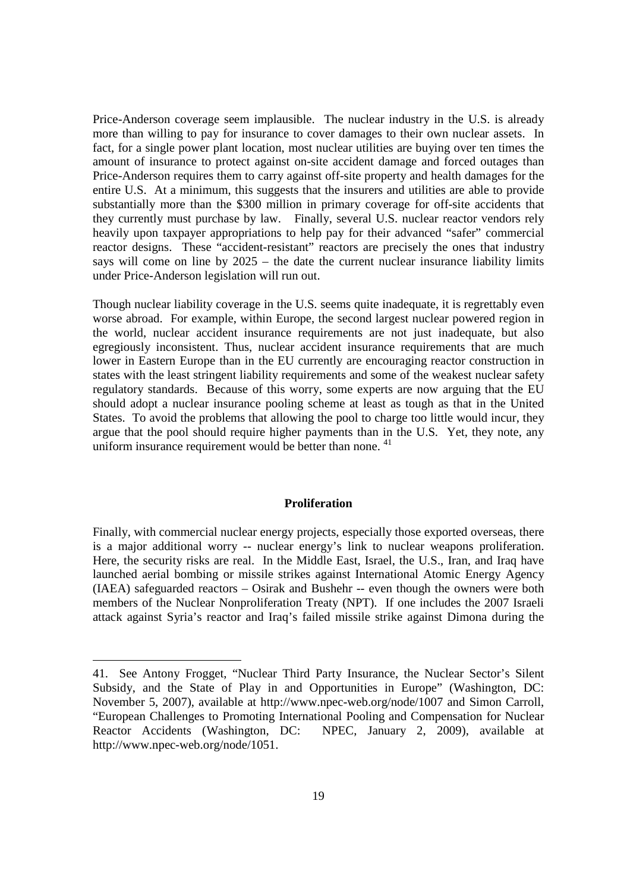Price-Anderson coverage seem implausible. The nuclear industry in the U.S. is already more than willing to pay for insurance to cover damages to their own nuclear assets. In fact, for a single power plant location, most nuclear utilities are buying over ten times the amount of insurance to protect against on-site accident damage and forced outages than Price-Anderson requires them to carry against off-site property and health damages for the entire U.S. At a minimum, this suggests that the insurers and utilities are able to provide substantially more than the \$300 million in primary coverage for off-site accidents that they currently must purchase by law. Finally, several U.S. nuclear reactor vendors rely heavily upon taxpayer appropriations to help pay for their advanced "safer" commercial reactor designs. These "accident-resistant" reactors are precisely the ones that industry says will come on line by 2025 – the date the current nuclear insurance liability limits under Price-Anderson legislation will run out.

Though nuclear liability coverage in the U.S. seems quite inadequate, it is regrettably even worse abroad. For example, within Europe, the second largest nuclear powered region in the world, nuclear accident insurance requirements are not just inadequate, but also egregiously inconsistent. Thus, nuclear accident insurance requirements that are much lower in Eastern Europe than in the EU currently are encouraging reactor construction in states with the least stringent liability requirements and some of the weakest nuclear safety regulatory standards. Because of this worry, some experts are now arguing that the EU should adopt a nuclear insurance pooling scheme at least as tough as that in the United States. To avoid the problems that allowing the pool to charge too little would incur, they argue that the pool should require higher payments than in the U.S. Yet, they note, any uniform insurance requirement would be better than none.<sup>41</sup>

#### **Proliferation**

Finally, with commercial nuclear energy projects, especially those exported overseas, there is a major additional worry -- nuclear energy's link to nuclear weapons proliferation. Here, the security risks are real. In the Middle East, Israel, the U.S., Iran, and Iraq have launched aerial bombing or missile strikes against International Atomic Energy Agency (IAEA) safeguarded reactors – Osirak and Bushehr -- even though the owners were both members of the Nuclear Nonproliferation Treaty (NPT). If one includes the 2007 Israeli attack against Syria's reactor and Iraq's failed missile strike against Dimona during the

<u>.</u>

<sup>41.</sup> See Antony Frogget, "Nuclear Third Party Insurance, the Nuclear Sector's Silent Subsidy, and the State of Play in and Opportunities in Europe" (Washington, DC: November 5, 2007), available at http://www.npec-web.org/node/1007 and Simon Carroll, "European Challenges to Promoting International Pooling and Compensation for Nuclear Reactor Accidents (Washington, DC: NPEC, January 2, 2009), available at http://www.npec-web.org/node/1051.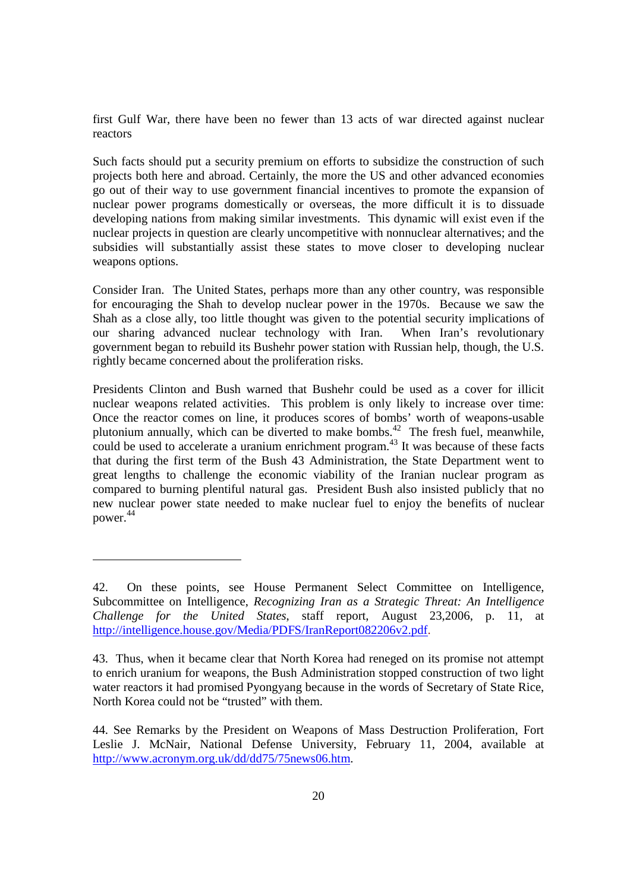first Gulf War, there have been no fewer than 13 acts of war directed against nuclear reactors

Such facts should put a security premium on efforts to subsidize the construction of such projects both here and abroad. Certainly, the more the US and other advanced economies go out of their way to use government financial incentives to promote the expansion of nuclear power programs domestically or overseas, the more difficult it is to dissuade developing nations from making similar investments. This dynamic will exist even if the nuclear projects in question are clearly uncompetitive with nonnuclear alternatives; and the subsidies will substantially assist these states to move closer to developing nuclear weapons options.

Consider Iran. The United States, perhaps more than any other country, was responsible for encouraging the Shah to develop nuclear power in the 1970s. Because we saw the Shah as a close ally, too little thought was given to the potential security implications of our sharing advanced nuclear technology with Iran. When Iran's revolutionary government began to rebuild its Bushehr power station with Russian help, though, the U.S. rightly became concerned about the proliferation risks.

Presidents Clinton and Bush warned that Bushehr could be used as a cover for illicit nuclear weapons related activities. This problem is only likely to increase over time: Once the reactor comes on line, it produces scores of bombs' worth of weapons-usable plutonium annually, which can be diverted to make bombs.<sup>42</sup> The fresh fuel, meanwhile, could be used to accelerate a uranium enrichment program. <sup>43</sup> It was because of these facts that during the first term of the Bush 43 Administration, the State Department went to great lengths to challenge the economic viability of the Iranian nuclear program as compared to burning plentiful natural gas. President Bush also insisted publicly that no new nuclear power state needed to make nuclear fuel to enjoy the benefits of nuclear power. 44

<sup>42.</sup> On these points, see House Permanent Select Committee on Intelligence, Subcommittee on Intelligence, *Recognizing Iran as a Strategic Threat: An Intelligence Challenge for the United States*, staff report, August 23,2006, p. 11, at http://intelligence.house.gov/Media/PDFS/IranReport082206v2.pdf.

<sup>43.</sup> Thus, when it became clear that North Korea had reneged on its promise not attempt to enrich uranium for weapons, the Bush Administration stopped construction of two light water reactors it had promised Pyongyang because in the words of Secretary of State Rice, North Korea could not be "trusted" with them.

<sup>44.</sup> See Remarks by the President on Weapons of Mass Destruction Proliferation, Fort Leslie J. McNair, National Defense University, February 11, 2004, available at http://www.acronym.org.uk/dd/dd75/75news06.htm.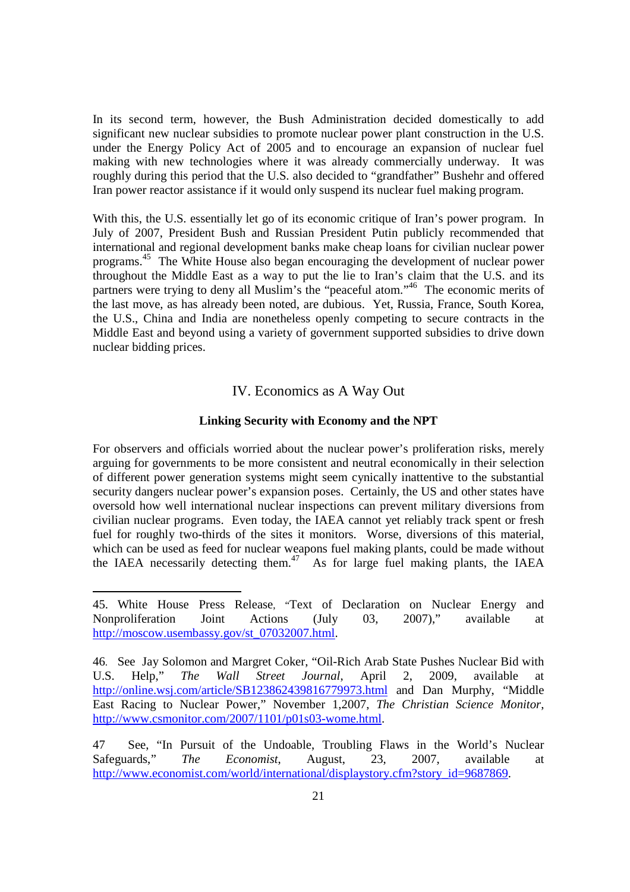In its second term, however, the Bush Administration decided domestically to add significant new nuclear subsidies to promote nuclear power plant construction in the U.S. under the Energy Policy Act of 2005 and to encourage an expansion of nuclear fuel making with new technologies where it was already commercially underway. It was roughly during this period that the U.S. also decided to "grandfather" Bushehr and offered Iran power reactor assistance if it would only suspend its nuclear fuel making program.

With this, the U.S. essentially let go of its economic critique of Iran's power program. In July of 2007, President Bush and Russian President Putin publicly recommended that international and regional development banks make cheap loans for civilian nuclear power programs. <sup>45</sup> The White House also began encouraging the development of nuclear power throughout the Middle East as a way to put the lie to Iran's claim that the U.S. and its partners were trying to deny all Muslim's the "peaceful atom."<sup>46</sup> The economic merits of the last move, as has already been noted, are dubious. Yet, Russia, France, South Korea, the U.S., China and India are nonetheless openly competing to secure contracts in the Middle East and beyond using a variety of government supported subsidies to drive down nuclear bidding prices.

## IV. Economics as A Way Out

#### **Linking Security with Economy and the NPT**

For observers and officials worried about the nuclear power's proliferation risks, merely arguing for governments to be more consistent and neutral economically in their selection of different power generation systems might seem cynically inattentive to the substantial security dangers nuclear power's expansion poses. Certainly, the US and other states have oversold how well international nuclear inspections can prevent military diversions from civilian nuclear programs. Even today, the IAEA cannot yet reliably track spent or fresh fuel for roughly two-thirds of the sites it monitors. Worse, diversions of this material, which can be used as feed for nuclear weapons fuel making plants, could be made without the IAEA necessarily detecting them.<sup>47</sup> As for large fuel making plants, the IAEA

<sup>45.</sup> White House Press Release, "Text of Declaration on Nuclear Energy and Nonproliferation Joint Actions (July 03, 2007)," available at http://moscow.usembassy.gov/st\_07032007.html.

<sup>46</sup>. See Jay Solomon and Margret Coker, "Oil-Rich Arab State Pushes Nuclear Bid with U.S. Help," *The Wall Street Journal*, April 2, 2009, available at http://online.wsj.com/article/SB123862439816779973.html and Dan Murphy, "Middle East Racing to Nuclear Power," November 1,2007, *The Christian Science Monitor*, http://www.csmonitor.com/2007/1101/p01s03-wome.html.

<sup>47</sup> See, "In Pursuit of the Undoable, Troubling Flaws in the World's Nuclear Safeguards," *The Economist*, August, 23, 2007, available at http://www.economist.com/world/international/displaystory.cfm?story\_id=9687869.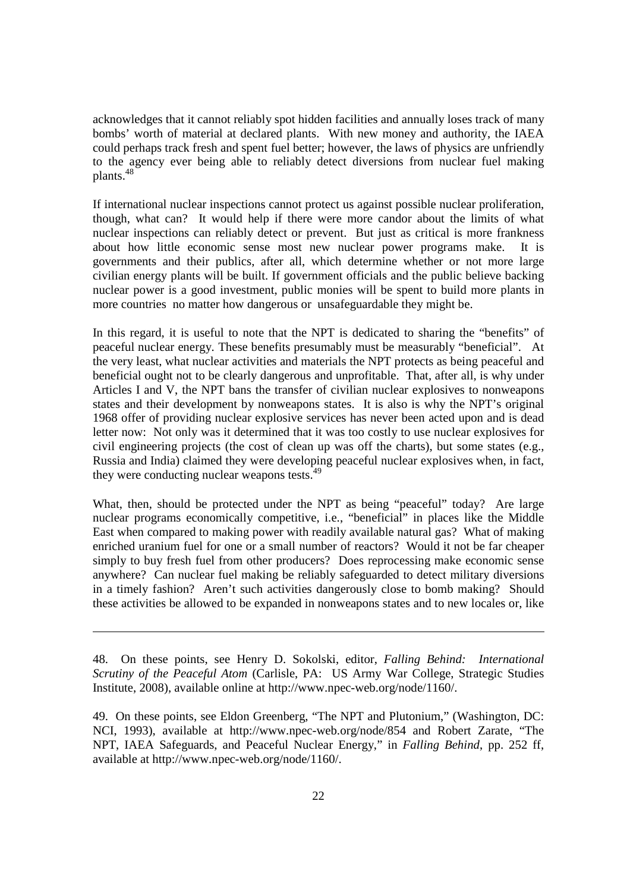acknowledges that it cannot reliably spot hidden facilities and annually loses track of many bombs' worth of material at declared plants. With new money and authority, the IAEA could perhaps track fresh and spent fuel better; however, the laws of physics are unfriendly to the agency ever being able to reliably detect diversions from nuclear fuel making plants.<sup>48</sup>

If international nuclear inspections cannot protect us against possible nuclear proliferation, though, what can? It would help if there were more candor about the limits of what nuclear inspections can reliably detect or prevent. But just as critical is more frankness about how little economic sense most new nuclear power programs make. It is governments and their publics, after all, which determine whether or not more large civilian energy plants will be built. If government officials and the public believe backing nuclear power is a good investment, public monies will be spent to build more plants in more countries no matter how dangerous or unsafeguardable they might be.

In this regard, it is useful to note that the NPT is dedicated to sharing the "benefits" of peaceful nuclear energy. These benefits presumably must be measurably "beneficial". At the very least, what nuclear activities and materials the NPT protects as being peaceful and beneficial ought not to be clearly dangerous and unprofitable. That, after all, is why under Articles I and V, the NPT bans the transfer of civilian nuclear explosives to nonweapons states and their development by nonweapons states. It is also is why the NPT's original 1968 offer of providing nuclear explosive services has never been acted upon and is dead letter now: Not only was it determined that it was too costly to use nuclear explosives for civil engineering projects (the cost of clean up was off the charts), but some states (e.g., Russia and India) claimed they were developing peaceful nuclear explosives when, in fact, they were conducting nuclear weapons tests.<sup>49</sup>

What, then, should be protected under the NPT as being "peaceful" today? Are large nuclear programs economically competitive, i.e., "beneficial" in places like the Middle East when compared to making power with readily available natural gas? What of making enriched uranium fuel for one or a small number of reactors? Would it not be far cheaper simply to buy fresh fuel from other producers? Does reprocessing make economic sense anywhere? Can nuclear fuel making be reliably safeguarded to detect military diversions in a timely fashion? Aren't such activities dangerously close to bomb making? Should these activities be allowed to be expanded in nonweapons states and to new locales or, like

 $\overline{a}$ 

<sup>48.</sup> On these points, see Henry D. Sokolski, editor, *Falling Behind: International Scrutiny of the Peaceful Atom* (Carlisle, PA: US Army War College, Strategic Studies Institute, 2008), available online at http://www.npec-web.org/node/1160/.

<sup>49.</sup> On these points, see Eldon Greenberg, "The NPT and Plutonium," (Washington, DC: NCI, 1993), available at http://www.npec-web.org/node/854 and Robert Zarate, "The NPT, IAEA Safeguards, and Peaceful Nuclear Energy," in *Falling Behind*, pp. 252 ff, available at http://www.npec-web.org/node/1160/.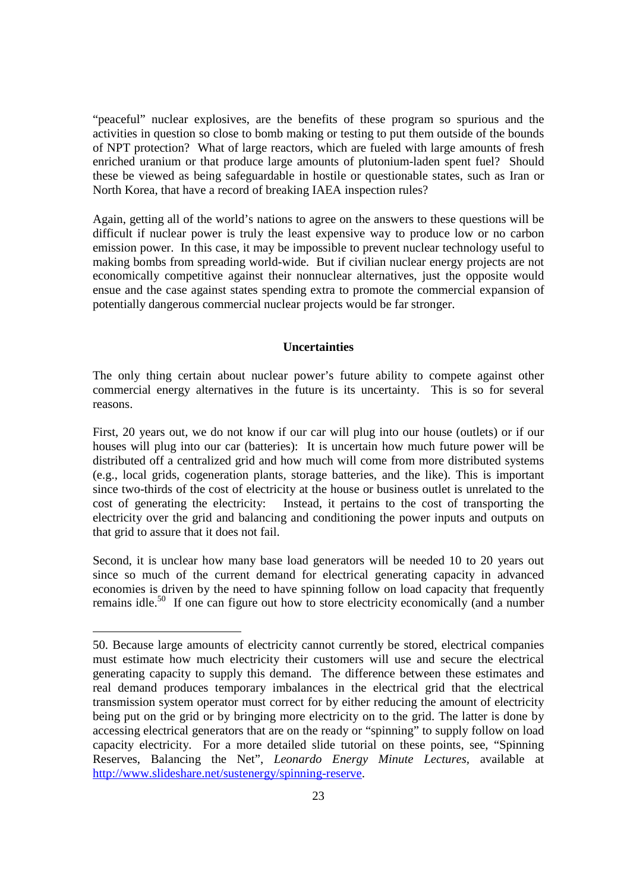"peaceful" nuclear explosives, are the benefits of these program so spurious and the activities in question so close to bomb making or testing to put them outside of the bounds of NPT protection? What of large reactors, which are fueled with large amounts of fresh enriched uranium or that produce large amounts of plutonium-laden spent fuel? Should these be viewed as being safeguardable in hostile or questionable states, such as Iran or North Korea, that have a record of breaking IAEA inspection rules?

Again, getting all of the world's nations to agree on the answers to these questions will be difficult if nuclear power is truly the least expensive way to produce low or no carbon emission power. In this case, it may be impossible to prevent nuclear technology useful to making bombs from spreading world-wide. But if civilian nuclear energy projects are not economically competitive against their nonnuclear alternatives, just the opposite would ensue and the case against states spending extra to promote the commercial expansion of potentially dangerous commercial nuclear projects would be far stronger.

#### **Uncertainties**

The only thing certain about nuclear power's future ability to compete against other commercial energy alternatives in the future is its uncertainty. This is so for several reasons.

First, 20 years out, we do not know if our car will plug into our house (outlets) or if our houses will plug into our car (batteries): It is uncertain how much future power will be distributed off a centralized grid and how much will come from more distributed systems (e.g., local grids, cogeneration plants, storage batteries, and the like). This is important since two-thirds of the cost of electricity at the house or business outlet is unrelated to the cost of generating the electricity: Instead, it pertains to the cost of transporting the electricity over the grid and balancing and conditioning the power inputs and outputs on that grid to assure that it does not fail.

Second, it is unclear how many base load generators will be needed 10 to 20 years out since so much of the current demand for electrical generating capacity in advanced economies is driven by the need to have spinning follow on load capacity that frequently remains idle.<sup>50</sup> If one can figure out how to store electricity economically (and a number

<sup>50.</sup> Because large amounts of electricity cannot currently be stored, electrical companies must estimate how much electricity their customers will use and secure the electrical generating capacity to supply this demand. The difference between these estimates and real demand produces temporary imbalances in the electrical grid that the electrical transmission system operator must correct for by either reducing the amount of electricity being put on the grid or by bringing more electricity on to the grid. The latter is done by accessing electrical generators that are on the ready or "spinning" to supply follow on load capacity electricity. For a more detailed slide tutorial on these points, see, "Spinning Reserves, Balancing the Net", *Leonardo Energy Minute Lectures,* available at http://www.slideshare.net/sustenergy/spinning-reserve.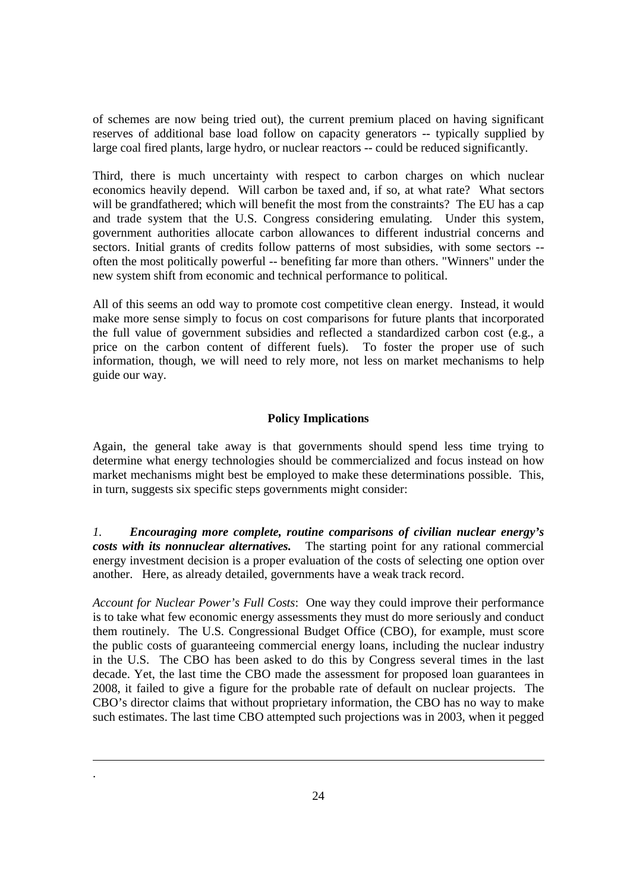of schemes are now being tried out), the current premium placed on having significant reserves of additional base load follow on capacity generators -- typically supplied by large coal fired plants, large hydro, or nuclear reactors -- could be reduced significantly.

Third, there is much uncertainty with respect to carbon charges on which nuclear economics heavily depend. Will carbon be taxed and, if so, at what rate? What sectors will be grandfathered; which will benefit the most from the constraints? The EU has a cap and trade system that the U.S. Congress considering emulating. Under this system, government authorities allocate carbon allowances to different industrial concerns and sectors. Initial grants of credits follow patterns of most subsidies, with some sectors -often the most politically powerful -- benefiting far more than others. "Winners" under the new system shift from economic and technical performance to political.

All of this seems an odd way to promote cost competitive clean energy. Instead, it would make more sense simply to focus on cost comparisons for future plants that incorporated the full value of government subsidies and reflected a standardized carbon cost (e.g., a price on the carbon content of different fuels). To foster the proper use of such information, though, we will need to rely more, not less on market mechanisms to help guide our way.

## **Policy Implications**

Again, the general take away is that governments should spend less time trying to determine what energy technologies should be commercialized and focus instead on how market mechanisms might best be employed to make these determinations possible. This, in turn, suggests six specific steps governments might consider:

*1. Encouraging more complete, routine comparisons of civilian nuclear energy's costs with its nonnuclear alternatives.* The starting point for any rational commercial energy investment decision is a proper evaluation of the costs of selecting one option over another. Here, as already detailed, governments have a weak track record.

*Account for Nuclear Power's Full Costs*: One way they could improve their performance is to take what few economic energy assessments they must do more seriously and conduct them routinely. The U.S. Congressional Budget Office (CBO), for example, must score the public costs of guaranteeing commercial energy loans, including the nuclear industry in the U.S. The CBO has been asked to do this by Congress several times in the last decade. Yet, the last time the CBO made the assessment for proposed loan guarantees in 2008, it failed to give a figure for the probable rate of default on nuclear projects. The CBO's director claims that without proprietary information, the CBO has no way to make such estimates. The last time CBO attempted such projections was in 2003, when it pegged

 $\overline{a}$ .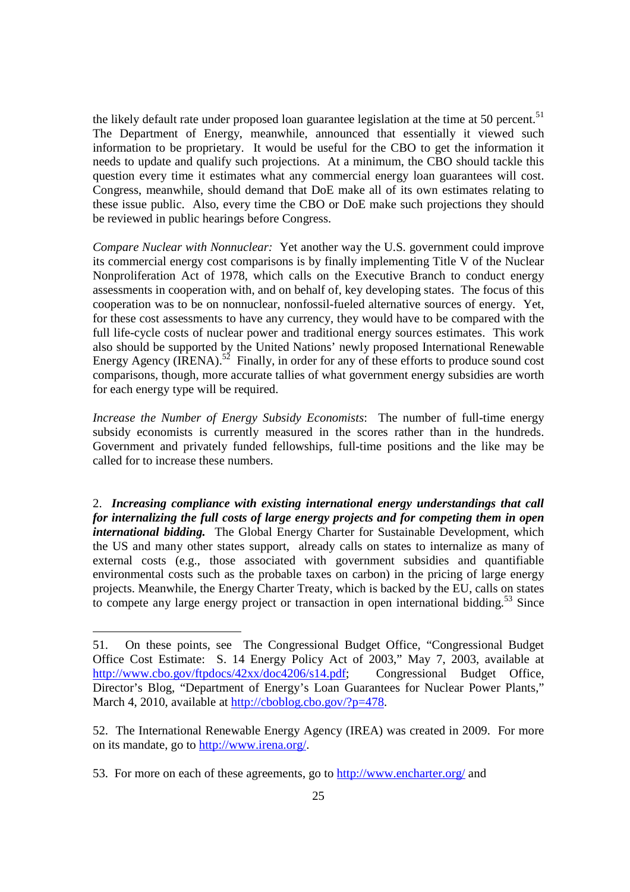the likely default rate under proposed loan guarantee legislation at the time at 50 percent.<sup>51</sup> The Department of Energy, meanwhile, announced that essentially it viewed such information to be proprietary. It would be useful for the CBO to get the information it needs to update and qualify such projections. At a minimum, the CBO should tackle this question every time it estimates what any commercial energy loan guarantees will cost. Congress, meanwhile, should demand that DoE make all of its own estimates relating to these issue public. Also, every time the CBO or DoE make such projections they should be reviewed in public hearings before Congress.

*Compare Nuclear with Nonnuclear:* Yet another way the U.S. government could improve its commercial energy cost comparisons is by finally implementing Title V of the Nuclear Nonproliferation Act of 1978, which calls on the Executive Branch to conduct energy assessments in cooperation with, and on behalf of, key developing states. The focus of this cooperation was to be on nonnuclear, nonfossil-fueled alternative sources of energy. Yet, for these cost assessments to have any currency, they would have to be compared with the full life-cycle costs of nuclear power and traditional energy sources estimates. This work also should be supported by the United Nations' newly proposed International Renewable Energy Agency  $(\overline{RENA})$ .<sup>52</sup> Finally, in order for any of these efforts to produce sound cost comparisons, though, more accurate tallies of what government energy subsidies are worth for each energy type will be required.

*Increase the Number of Energy Subsidy Economists*: The number of full-time energy subsidy economists is currently measured in the scores rather than in the hundreds. Government and privately funded fellowships, full-time positions and the like may be called for to increase these numbers.

2. *Increasing compliance with existing international energy understandings that call for internalizing the full costs of large energy projects and for competing them in open international bidding.* The Global Energy Charter for Sustainable Development, which the US and many other states support, already calls on states to internalize as many of external costs (e.g., those associated with government subsidies and quantifiable environmental costs such as the probable taxes on carbon) in the pricing of large energy projects. Meanwhile, the Energy Charter Treaty, which is backed by the EU, calls on states to compete any large energy project or transaction in open international bidding.<sup>53</sup> Since

<sup>51.</sup> On these points, see The Congressional Budget Office, "Congressional Budget Office Cost Estimate: S. 14 Energy Policy Act of 2003," May 7, 2003, available at http://www.cbo.gov/ftpdocs/42xx/doc4206/s14.pdf; Congressional Budget Office, Director's Blog, "Department of Energy's Loan Guarantees for Nuclear Power Plants," March 4, 2010, available at http://cboblog.cbo.gov/?p=478.

<sup>52.</sup> The International Renewable Energy Agency (IREA) was created in 2009. For more on its mandate, go to http://www.irena.org/.

<sup>53.</sup> For more on each of these agreements, go to http://www.encharter.org/ and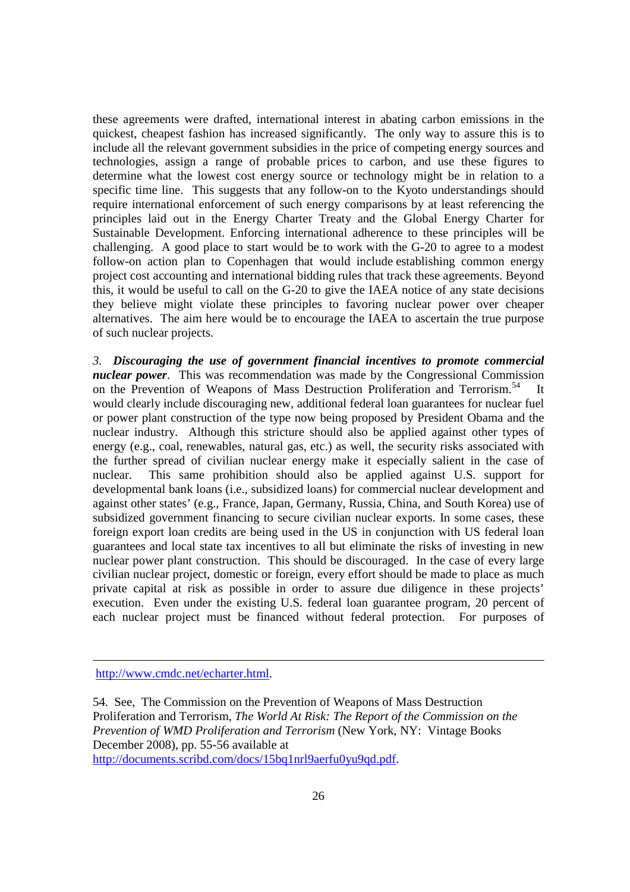these agreements were drafted, international interest in abating carbon emissions in the quickest, cheapest fashion has increased significantly. The only way to assure this is to include all the relevant government subsidies in the price of competing energy sources and technologies, assign a range of probable prices to carbon, and use these figures to determine what the lowest cost energy source or technology might be in relation to a specific time line. This suggests that any follow-on to the Kyoto understandings should require international enforcement of such energy comparisons by at least referencing the principles laid out in the Energy Charter Treaty and the Global Energy Charter for Sustainable Development. Enforcing international adherence to these principles will be challenging. A good place to start would be to work with the G-20 to agree to a modest follow-on action plan to Copenhagen that would include establishing common energy project cost accounting and international bidding rules that track these agreements. Beyond this, it would be useful to call on the G-20 to give the IAEA notice of any state decisions they believe might violate these principles to favoring nuclear power over cheaper alternatives. The aim here would be to encourage the IAEA to ascertain the true purpose of such nuclear projects.

*3. Discouraging the use of government financial incentives to promote commercial nuclear power*. This was recommendation was made by the Congressional Commission on the Prevention of Weapons of Mass Destruction Proliferation and Terrorism.<sup>54</sup> It would clearly include discouraging new, additional federal loan guarantees for nuclear fuel or power plant construction of the type now being proposed by President Obama and the nuclear industry. Although this stricture should also be applied against other types of energy (e.g., coal, renewables, natural gas, etc.) as well, the security risks associated with the further spread of civilian nuclear energy make it especially salient in the case of nuclear. This same prohibition should also be applied against U.S. support for developmental bank loans (i.e., subsidized loans) for commercial nuclear development and against other states' (e.g., France, Japan, Germany, Russia, China, and South Korea) use of subsidized government financing to secure civilian nuclear exports. In some cases, these foreign export loan credits are being used in the US in conjunction with US federal loan guarantees and local state tax incentives to all but eliminate the risks of investing in new nuclear power plant construction. This should be discouraged. In the case of every large civilian nuclear project, domestic or foreign, every effort should be made to place as much private capital at risk as possible in order to assure due diligence in these projects' execution. Even under the existing U.S. federal loan guarantee program, 20 percent of each nuclear project must be financed without federal protection. For purposes of

http://www.cmdc.net/echarter.html.

 $\overline{a}$ 

54. See, The Commission on the Prevention of Weapons of Mass Destruction Proliferation and Terrorism, *The World At Risk: The Report of the Commission on the Prevention of WMD Proliferation and Terrorism* (New York, NY: Vintage Books December 2008)*,* pp. 55-56 available at http://documents.scribd.com/docs/15bq1nrl9aerfu0yu9qd.pdf.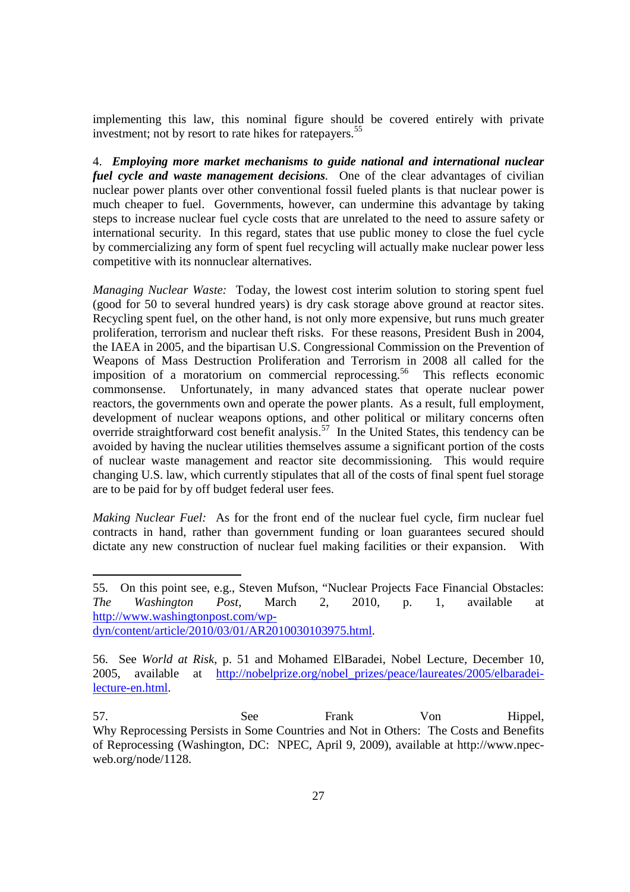implementing this law, this nominal figure should be covered entirely with private investment; not by resort to rate hikes for ratepayers. 55

4. *Employing more market mechanisms to guide national and international nuclear fuel cycle and waste management decisions.* One of the clear advantages of civilian nuclear power plants over other conventional fossil fueled plants is that nuclear power is much cheaper to fuel. Governments, however, can undermine this advantage by taking steps to increase nuclear fuel cycle costs that are unrelated to the need to assure safety or international security. In this regard, states that use public money to close the fuel cycle by commercializing any form of spent fuel recycling will actually make nuclear power less competitive with its nonnuclear alternatives.

*Managing Nuclear Waste:* Today, the lowest cost interim solution to storing spent fuel (good for 50 to several hundred years) is dry cask storage above ground at reactor sites. Recycling spent fuel, on the other hand, is not only more expensive, but runs much greater proliferation, terrorism and nuclear theft risks. For these reasons, President Bush in 2004, the IAEA in 2005, and the bipartisan U.S. Congressional Commission on the Prevention of Weapons of Mass Destruction Proliferation and Terrorism in 2008 all called for the imposition of a moratorium on commercial reprocessing.<sup>56</sup> This reflects economic commonsense. Unfortunately, in many advanced states that operate nuclear power reactors, the governments own and operate the power plants. As a result, full employment, development of nuclear weapons options, and other political or military concerns often override straightforward cost benefit analysis.<sup>57</sup> In the United States, this tendency can be avoided by having the nuclear utilities themselves assume a significant portion of the costs of nuclear waste management and reactor site decommissioning. This would require changing U.S. law, which currently stipulates that all of the costs of final spent fuel storage are to be paid for by off budget federal user fees.

*Making Nuclear Fuel:* As for the front end of the nuclear fuel cycle, firm nuclear fuel contracts in hand, rather than government funding or loan guarantees secured should dictate any new construction of nuclear fuel making facilities or their expansion. With

<sup>55.</sup> On this point see, e.g., Steven Mufson, "Nuclear Projects Face Financial Obstacles: *The Washington Post*, March 2, 2010, p. 1, available at http://www.washingtonpost.com/wpdyn/content/article/2010/03/01/AR2010030103975.html.

<sup>56.</sup> See *World at Risk*, p. 51 and Mohamed ElBaradei, Nobel Lecture, December 10, 2005, available at http://nobelprize.org/nobel\_prizes/peace/laureates/2005/elbaradeilecture-en.html.

<sup>57.</sup> See Frank Von Hippel, Why Reprocessing Persists in Some Countries and Not in Others: The Costs and Benefits of Reprocessing (Washington, DC: NPEC, April 9, 2009), available at http://www.npecweb.org/node/1128.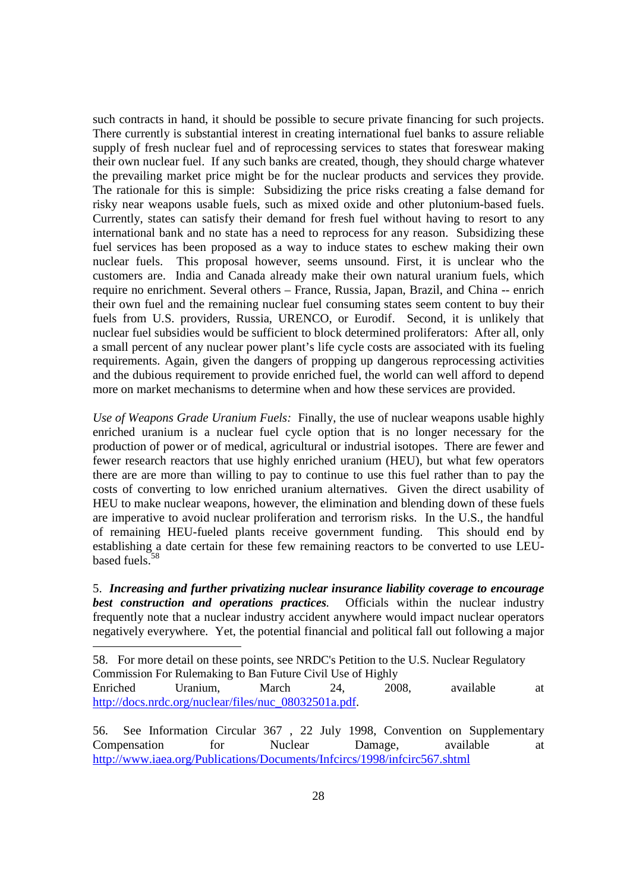such contracts in hand, it should be possible to secure private financing for such projects. There currently is substantial interest in creating international fuel banks to assure reliable supply of fresh nuclear fuel and of reprocessing services to states that foreswear making their own nuclear fuel. If any such banks are created, though, they should charge whatever the prevailing market price might be for the nuclear products and services they provide. The rationale for this is simple: Subsidizing the price risks creating a false demand for risky near weapons usable fuels, such as mixed oxide and other plutonium-based fuels. Currently, states can satisfy their demand for fresh fuel without having to resort to any international bank and no state has a need to reprocess for any reason. Subsidizing these fuel services has been proposed as a way to induce states to eschew making their own nuclear fuels. This proposal however, seems unsound. First, it is unclear who the customers are. India and Canada already make their own natural uranium fuels, which require no enrichment. Several others – France, Russia, Japan, Brazil, and China -- enrich their own fuel and the remaining nuclear fuel consuming states seem content to buy their fuels from U.S. providers, Russia, URENCO, or Eurodif. Second, it is unlikely that nuclear fuel subsidies would be sufficient to block determined proliferators: After all, only a small percent of any nuclear power plant's life cycle costs are associated with its fueling requirements. Again, given the dangers of propping up dangerous reprocessing activities and the dubious requirement to provide enriched fuel, the world can well afford to depend more on market mechanisms to determine when and how these services are provided.

*Use of Weapons Grade Uranium Fuels:* Finally, the use of nuclear weapons usable highly enriched uranium is a nuclear fuel cycle option that is no longer necessary for the production of power or of medical, agricultural or industrial isotopes. There are fewer and fewer research reactors that use highly enriched uranium (HEU), but what few operators there are are more than willing to pay to continue to use this fuel rather than to pay the costs of converting to low enriched uranium alternatives. Given the direct usability of HEU to make nuclear weapons, however, the elimination and blending down of these fuels are imperative to avoid nuclear proliferation and terrorism risks. In the U.S., the handful of remaining HEU-fueled plants receive government funding. This should end by establishing a date certain for these few remaining reactors to be converted to use LEUbased fuels.<sup>5</sup>

5. *Increasing and further privatizing nuclear insurance liability coverage to encourage best construction and operations practices.* Officials within the nuclear industry frequently note that a nuclear industry accident anywhere would impact nuclear operators negatively everywhere. Yet, the potential financial and political fall out following a major

58. For more detail on these points, see NRDC's Petition to the U.S. Nuclear Regulatory Commission For Rulemaking to Ban Future Civil Use of Highly Enriched Uranium, March 24, 2008, available at http://docs.nrdc.org/nuclear/files/nuc\_08032501a.pdf.

-

56. See Information Circular 367 , 22 July 1998, Convention on Supplementary Compensation for Nuclear Damage, available at http://www.iaea.org/Publications/Documents/Infcircs/1998/infcirc567.shtml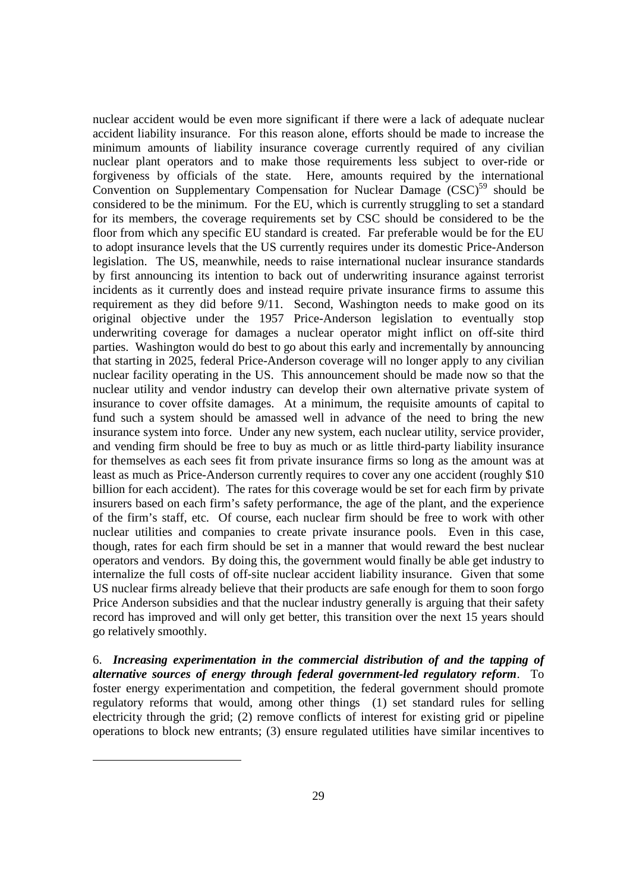nuclear accident would be even more significant if there were a lack of adequate nuclear accident liability insurance. For this reason alone, efforts should be made to increase the minimum amounts of liability insurance coverage currently required of any civilian nuclear plant operators and to make those requirements less subject to over-ride or forgiveness by officials of the state. Here, amounts required by the international Convention on Supplementary Compensation for Nuclear Damage  $(CSC)^{59}$  should be considered to be the minimum. For the EU, which is currently struggling to set a standard for its members, the coverage requirements set by CSC should be considered to be the floor from which any specific EU standard is created. Far preferable would be for the EU to adopt insurance levels that the US currently requires under its domestic Price-Anderson legislation. The US, meanwhile, needs to raise international nuclear insurance standards by first announcing its intention to back out of underwriting insurance against terrorist incidents as it currently does and instead require private insurance firms to assume this requirement as they did before 9/11. Second, Washington needs to make good on its original objective under the 1957 Price-Anderson legislation to eventually stop underwriting coverage for damages a nuclear operator might inflict on off-site third parties. Washington would do best to go about this early and incrementally by announcing that starting in 2025, federal Price-Anderson coverage will no longer apply to any civilian nuclear facility operating in the US. This announcement should be made now so that the nuclear utility and vendor industry can develop their own alternative private system of insurance to cover offsite damages. At a minimum, the requisite amounts of capital to fund such a system should be amassed well in advance of the need to bring the new insurance system into force. Under any new system, each nuclear utility, service provider, and vending firm should be free to buy as much or as little third-party liability insurance for themselves as each sees fit from private insurance firms so long as the amount was at least as much as Price-Anderson currently requires to cover any one accident (roughly \$10 billion for each accident). The rates for this coverage would be set for each firm by private insurers based on each firm's safety performance, the age of the plant, and the experience of the firm's staff, etc. Of course, each nuclear firm should be free to work with other nuclear utilities and companies to create private insurance pools. Even in this case, though, rates for each firm should be set in a manner that would reward the best nuclear operators and vendors. By doing this, the government would finally be able get industry to internalize the full costs of off-site nuclear accident liability insurance. Given that some US nuclear firms already believe that their products are safe enough for them to soon forgo Price Anderson subsidies and that the nuclear industry generally is arguing that their safety record has improved and will only get better, this transition over the next 15 years should go relatively smoothly.

6. *Increasing experimentation in the commercial distribution of and the tapping of alternative sources of energy through federal government-led regulatory reform*. To foster energy experimentation and competition, the federal government should promote regulatory reforms that would, among other things (1) set standard rules for selling electricity through the grid; (2) remove conflicts of interest for existing grid or pipeline operations to block new entrants; (3) ensure regulated utilities have similar incentives to

<u>.</u>